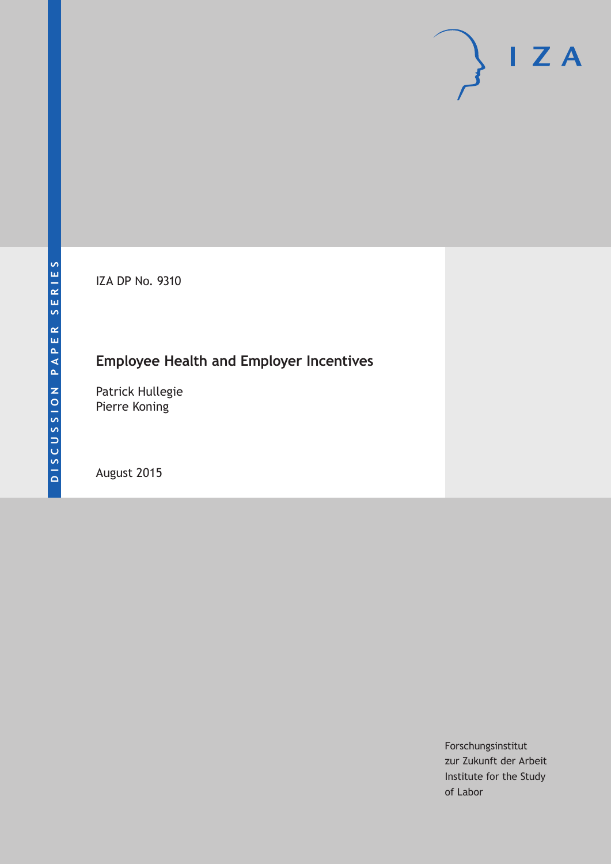IZA DP No. 9310

# **Employee Health and Employer Incentives**

Patrick Hullegie Pierre Koning

August 2015

Forschungsinstitut zur Zukunft der Arbeit Institute for the Study of Labor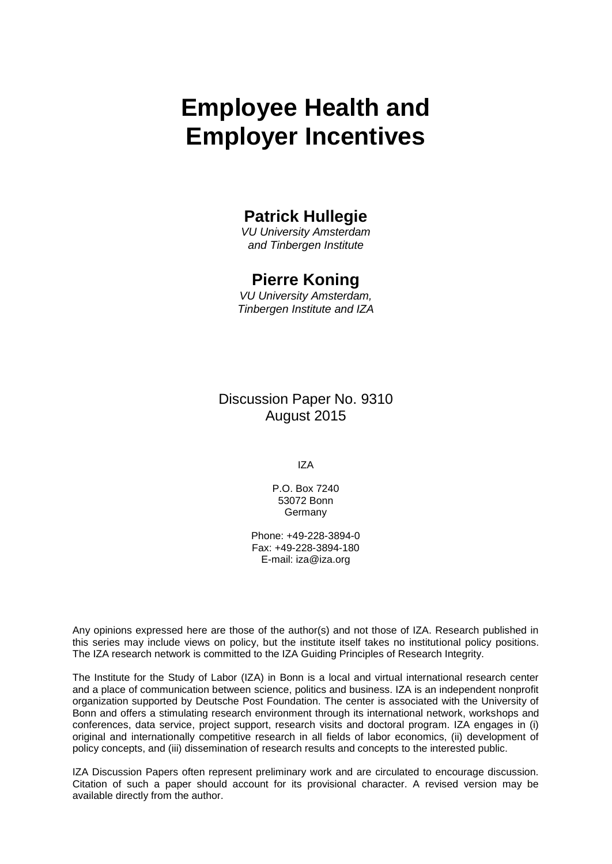# **Employee Health and Employer Incentives**

### **Patrick Hullegie**

*VU University Amsterdam and Tinbergen Institute*

### **Pierre Koning**

*VU University Amsterdam, Tinbergen Institute and IZA*

Discussion Paper No. 9310 August 2015

IZA

P.O. Box 7240 53072 Bonn Germany

Phone: +49-228-3894-0 Fax: +49-228-3894-180 E-mail: iza@iza.org

Any opinions expressed here are those of the author(s) and not those of IZA. Research published in this series may include views on policy, but the institute itself takes no institutional policy positions. The IZA research network is committed to the IZA Guiding Principles of Research Integrity.

The Institute for the Study of Labor (IZA) in Bonn is a local and virtual international research center and a place of communication between science, politics and business. IZA is an independent nonprofit organization supported by Deutsche Post Foundation. The center is associated with the University of Bonn and offers a stimulating research environment through its international network, workshops and conferences, data service, project support, research visits and doctoral program. IZA engages in (i) original and internationally competitive research in all fields of labor economics, (ii) development of policy concepts, and (iii) dissemination of research results and concepts to the interested public.

IZA Discussion Papers often represent preliminary work and are circulated to encourage discussion. Citation of such a paper should account for its provisional character. A revised version may be available directly from the author.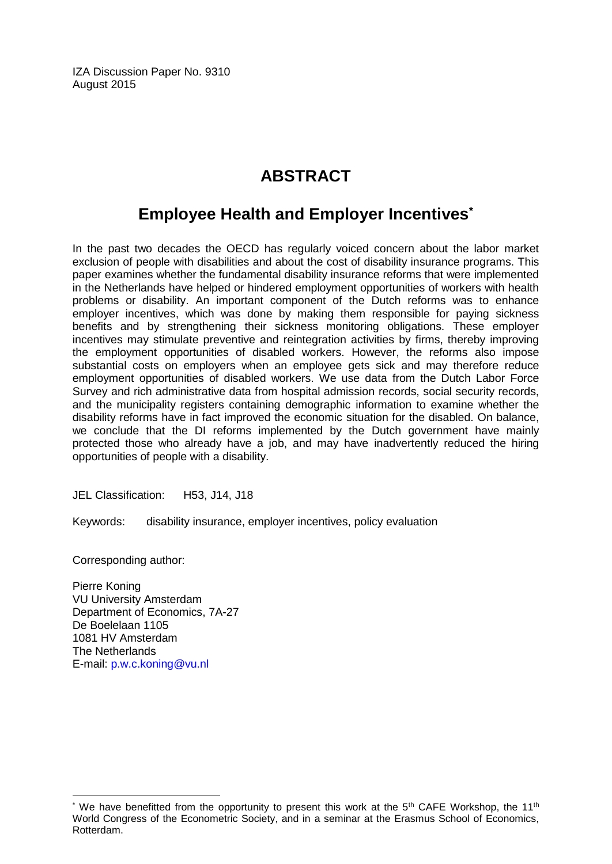IZA Discussion Paper No. 9310 August 2015

# **ABSTRACT**

## **Employee Health and Employer Incentives\***

In the past two decades the OECD has regularly voiced concern about the labor market exclusion of people with disabilities and about the cost of disability insurance programs. This paper examines whether the fundamental disability insurance reforms that were implemented in the Netherlands have helped or hindered employment opportunities of workers with health problems or disability. An important component of the Dutch reforms was to enhance employer incentives, which was done by making them responsible for paying sickness benefits and by strengthening their sickness monitoring obligations. These employer incentives may stimulate preventive and reintegration activities by firms, thereby improving the employment opportunities of disabled workers. However, the reforms also impose substantial costs on employers when an employee gets sick and may therefore reduce employment opportunities of disabled workers. We use data from the Dutch Labor Force Survey and rich administrative data from hospital admission records, social security records, and the municipality registers containing demographic information to examine whether the disability reforms have in fact improved the economic situation for the disabled. On balance, we conclude that the DI reforms implemented by the Dutch government have mainly protected those who already have a job, and may have inadvertently reduced the hiring opportunities of people with a disability.

JEL Classification: H53, J14, J18

Keywords: disability insurance, employer incentives, policy evaluation

Corresponding author:

 $\overline{a}$ 

Pierre Koning VU University Amsterdam Department of Economics, 7A-27 De Boelelaan 1105 1081 HV Amsterdam The Netherlands E-mail: [p.w.c.koning@vu.nl](mailto:p.w.c.koning@vu.nl)

We have benefitted from the opportunity to present this work at the  $5<sup>th</sup>$  CAFE Workshop, the 11<sup>th</sup> World Congress of the Econometric Society, and in a seminar at the Erasmus School of Economics, Rotterdam.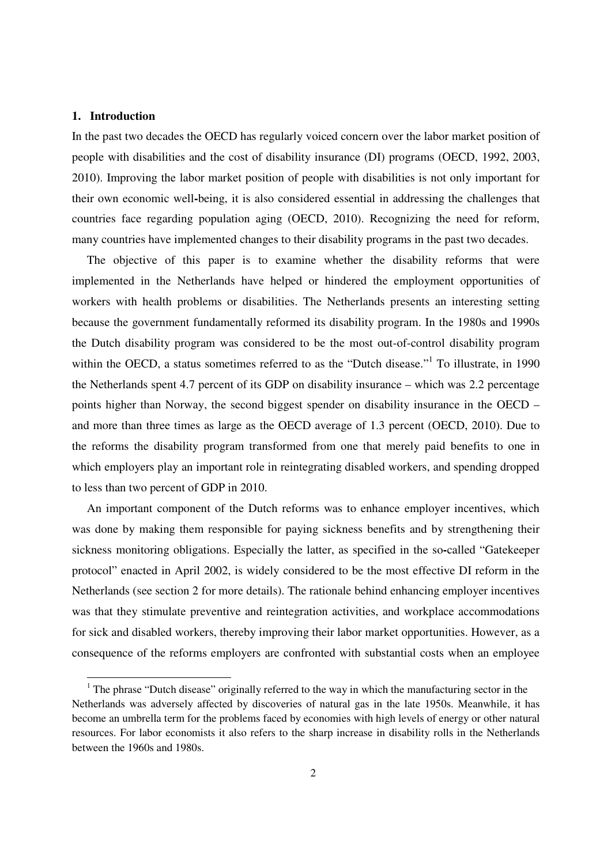#### **1. Introduction**

<u>.</u>

In the past two decades the OECD has regularly voiced concern over the labor market position of people with disabilities and the cost of disability insurance (DI) programs (OECD, 1992, 2003, 2010). Improving the labor market position of people with disabilities is not only important for their own economic well**-**being, it is also considered essential in addressing the challenges that countries face regarding population aging (OECD, 2010). Recognizing the need for reform, many countries have implemented changes to their disability programs in the past two decades.

The objective of this paper is to examine whether the disability reforms that were implemented in the Netherlands have helped or hindered the employment opportunities of workers with health problems or disabilities. The Netherlands presents an interesting setting because the government fundamentally reformed its disability program. In the 1980s and 1990s the Dutch disability program was considered to be the most out-of-control disability program within the OECD, a status sometimes referred to as the "Dutch disease."<sup>1</sup> To illustrate, in 1990 the Netherlands spent 4.7 percent of its GDP on disability insurance – which was 2.2 percentage points higher than Norway, the second biggest spender on disability insurance in the OECD – and more than three times as large as the OECD average of 1.3 percent (OECD, 2010). Due to the reforms the disability program transformed from one that merely paid benefits to one in which employers play an important role in reintegrating disabled workers, and spending dropped to less than two percent of GDP in 2010.

An important component of the Dutch reforms was to enhance employer incentives, which was done by making them responsible for paying sickness benefits and by strengthening their sickness monitoring obligations. Especially the latter, as specified in the so**-**called "Gatekeeper protocol" enacted in April 2002, is widely considered to be the most effective DI reform in the Netherlands (see section 2 for more details). The rationale behind enhancing employer incentives was that they stimulate preventive and reintegration activities, and workplace accommodations for sick and disabled workers, thereby improving their labor market opportunities. However, as a consequence of the reforms employers are confronted with substantial costs when an employee

 $1$  The phrase "Dutch disease" originally referred to the way in which the manufacturing sector in the Netherlands was adversely affected by discoveries of natural gas in the late 1950s. Meanwhile, it has become an umbrella term for the problems faced by economies with high levels of energy or other natural resources. For labor economists it also refers to the sharp increase in disability rolls in the Netherlands between the 1960s and 1980s.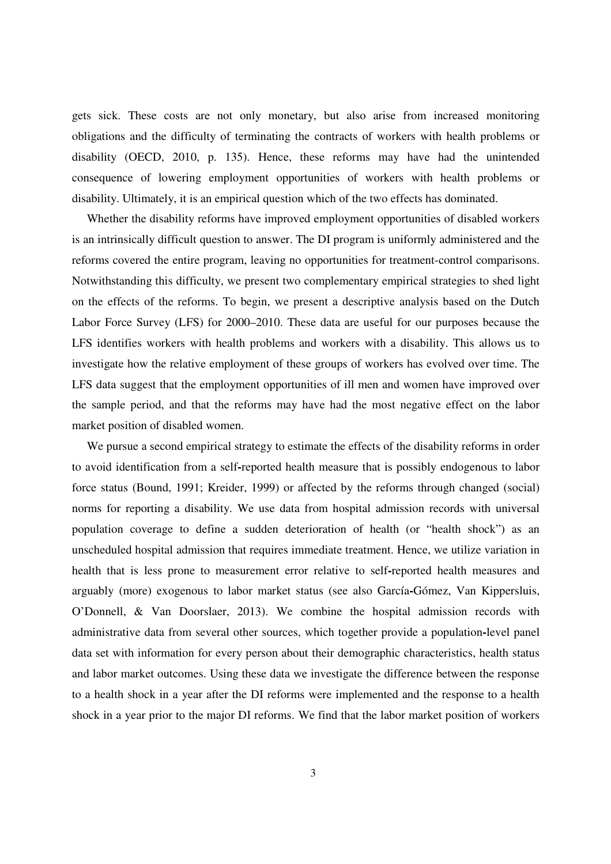gets sick. These costs are not only monetary, but also arise from increased monitoring obligations and the difficulty of terminating the contracts of workers with health problems or disability (OECD, 2010, p. 135). Hence, these reforms may have had the unintended consequence of lowering employment opportunities of workers with health problems or disability. Ultimately, it is an empirical question which of the two effects has dominated.

Whether the disability reforms have improved employment opportunities of disabled workers is an intrinsically difficult question to answer. The DI program is uniformly administered and the reforms covered the entire program, leaving no opportunities for treatment-control comparisons. Notwithstanding this difficulty, we present two complementary empirical strategies to shed light on the effects of the reforms. To begin, we present a descriptive analysis based on the Dutch Labor Force Survey (LFS) for 2000–2010. These data are useful for our purposes because the LFS identifies workers with health problems and workers with a disability. This allows us to investigate how the relative employment of these groups of workers has evolved over time. The LFS data suggest that the employment opportunities of ill men and women have improved over the sample period, and that the reforms may have had the most negative effect on the labor market position of disabled women.

We pursue a second empirical strategy to estimate the effects of the disability reforms in order to avoid identification from a self**-**reported health measure that is possibly endogenous to labor force status (Bound, 1991; Kreider, 1999) or affected by the reforms through changed (social) norms for reporting a disability. We use data from hospital admission records with universal population coverage to define a sudden deterioration of health (or "health shock") as an unscheduled hospital admission that requires immediate treatment. Hence, we utilize variation in health that is less prone to measurement error relative to self**-**reported health measures and arguably (more) exogenous to labor market status (see also García**-**Gómez, Van Kippersluis, O'Donnell, & Van Doorslaer, 2013). We combine the hospital admission records with administrative data from several other sources, which together provide a population**-**level panel data set with information for every person about their demographic characteristics, health status and labor market outcomes. Using these data we investigate the difference between the response to a health shock in a year after the DI reforms were implemented and the response to a health shock in a year prior to the major DI reforms. We find that the labor market position of workers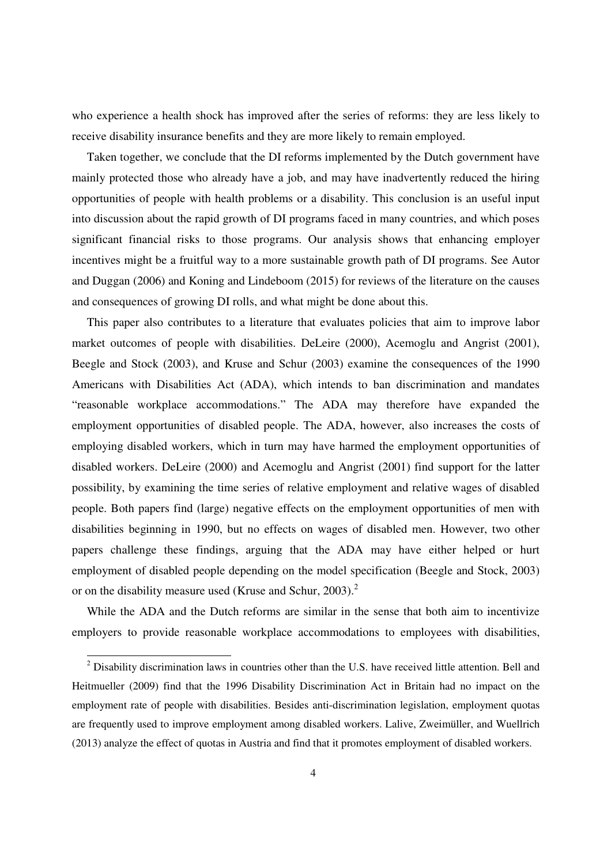who experience a health shock has improved after the series of reforms: they are less likely to receive disability insurance benefits and they are more likely to remain employed.

Taken together, we conclude that the DI reforms implemented by the Dutch government have mainly protected those who already have a job, and may have inadvertently reduced the hiring opportunities of people with health problems or a disability. This conclusion is an useful input into discussion about the rapid growth of DI programs faced in many countries, and which poses significant financial risks to those programs. Our analysis shows that enhancing employer incentives might be a fruitful way to a more sustainable growth path of DI programs. See Autor and Duggan (2006) and Koning and Lindeboom (2015) for reviews of the literature on the causes and consequences of growing DI rolls, and what might be done about this.

This paper also contributes to a literature that evaluates policies that aim to improve labor market outcomes of people with disabilities. DeLeire (2000), Acemoglu and Angrist (2001), Beegle and Stock (2003), and Kruse and Schur (2003) examine the consequences of the 1990 Americans with Disabilities Act (ADA), which intends to ban discrimination and mandates "reasonable workplace accommodations." The ADA may therefore have expanded the employment opportunities of disabled people. The ADA, however, also increases the costs of employing disabled workers, which in turn may have harmed the employment opportunities of disabled workers. DeLeire (2000) and Acemoglu and Angrist (2001) find support for the latter possibility, by examining the time series of relative employment and relative wages of disabled people. Both papers find (large) negative effects on the employment opportunities of men with disabilities beginning in 1990, but no effects on wages of disabled men. However, two other papers challenge these findings, arguing that the ADA may have either helped or hurt employment of disabled people depending on the model specification (Beegle and Stock, 2003) or on the disability measure used (Kruse and Schur, 2003).<sup>2</sup>

While the ADA and the Dutch reforms are similar in the sense that both aim to incentivize employers to provide reasonable workplace accommodations to employees with disabilities,

<sup>&</sup>lt;sup>2</sup> Disability discrimination laws in countries other than the U.S. have received little attention. Bell and <sup>2</sup> Heitmueller (2009) find that the 1996 Disability Discrimination Act in Britain had no impact on the employment rate of people with disabilities. Besides anti-discrimination legislation, employment quotas are frequently used to improve employment among disabled workers. Lalive, Zweimüller, and Wuellrich (2013) analyze the effect of quotas in Austria and find that it promotes employment of disabled workers.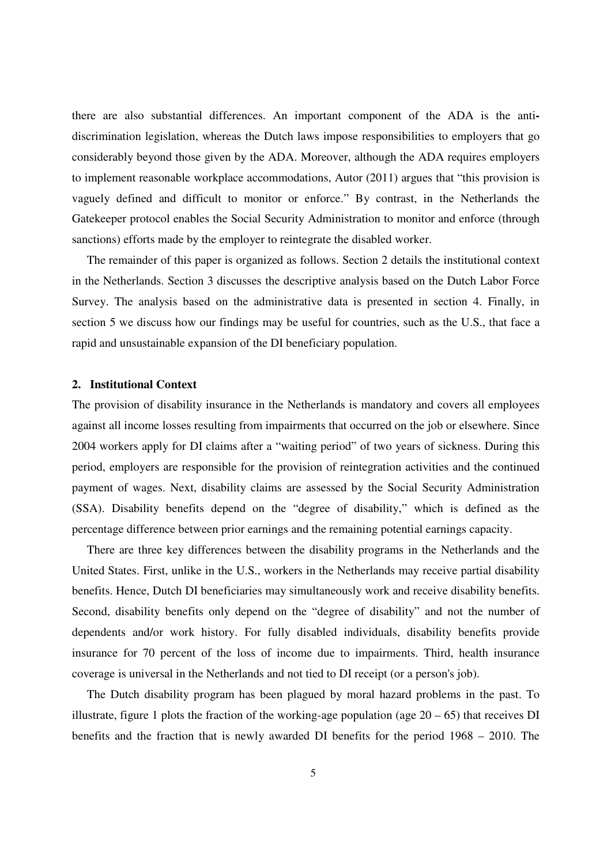there are also substantial differences. An important component of the ADA is the antidiscrimination legislation, whereas the Dutch laws impose responsibilities to employers that go considerably beyond those given by the ADA. Moreover, although the ADA requires employers to implement reasonable workplace accommodations, Autor (2011) argues that "this provision is vaguely defined and difficult to monitor or enforce." By contrast, in the Netherlands the Gatekeeper protocol enables the Social Security Administration to monitor and enforce (through sanctions) efforts made by the employer to reintegrate the disabled worker.

The remainder of this paper is organized as follows. Section 2 details the institutional context in the Netherlands. Section 3 discusses the descriptive analysis based on the Dutch Labor Force Survey. The analysis based on the administrative data is presented in section 4. Finally, in section 5 we discuss how our findings may be useful for countries, such as the U.S., that face a rapid and unsustainable expansion of the DI beneficiary population.

#### **2. Institutional Context**

The provision of disability insurance in the Netherlands is mandatory and covers all employees against all income losses resulting from impairments that occurred on the job or elsewhere. Since 2004 workers apply for DI claims after a "waiting period" of two years of sickness. During this period, employers are responsible for the provision of reintegration activities and the continued payment of wages. Next, disability claims are assessed by the Social Security Administration (SSA). Disability benefits depend on the "degree of disability," which is defined as the percentage difference between prior earnings and the remaining potential earnings capacity.

There are three key differences between the disability programs in the Netherlands and the United States. First, unlike in the U.S., workers in the Netherlands may receive partial disability benefits. Hence, Dutch DI beneficiaries may simultaneously work and receive disability benefits. Second, disability benefits only depend on the "degree of disability" and not the number of dependents and/or work history. For fully disabled individuals, disability benefits provide insurance for 70 percent of the loss of income due to impairments. Third, health insurance coverage is universal in the Netherlands and not tied to DI receipt (or a person's job).

The Dutch disability program has been plagued by moral hazard problems in the past. To illustrate, figure 1 plots the fraction of the working-age population (age  $20 - 65$ ) that receives DI benefits and the fraction that is newly awarded DI benefits for the period 1968 – 2010. The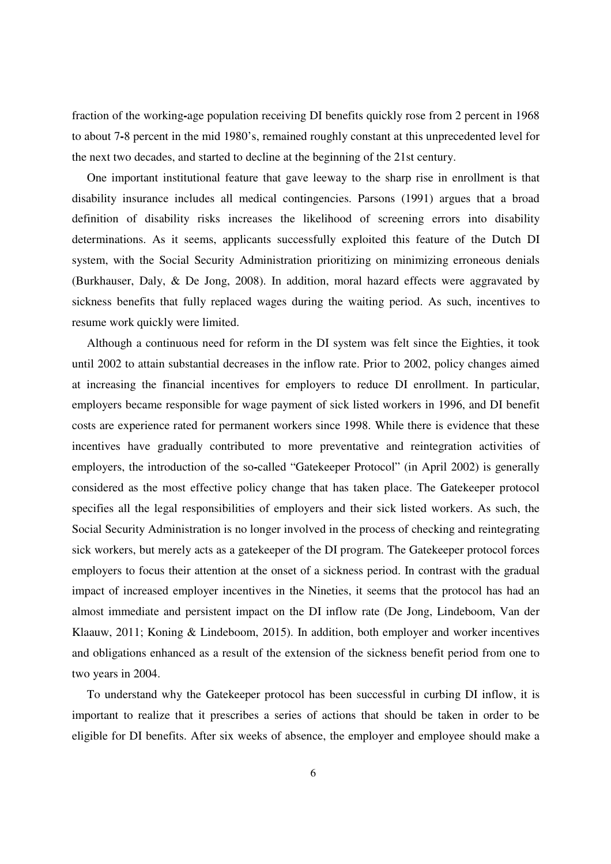fraction of the working**-**age population receiving DI benefits quickly rose from 2 percent in 1968 to about 7**-**8 percent in the mid 1980's, remained roughly constant at this unprecedented level for the next two decades, and started to decline at the beginning of the 21st century.

One important institutional feature that gave leeway to the sharp rise in enrollment is that disability insurance includes all medical contingencies. Parsons (1991) argues that a broad definition of disability risks increases the likelihood of screening errors into disability determinations. As it seems, applicants successfully exploited this feature of the Dutch DI system, with the Social Security Administration prioritizing on minimizing erroneous denials (Burkhauser, Daly, & De Jong, 2008). In addition, moral hazard effects were aggravated by sickness benefits that fully replaced wages during the waiting period. As such, incentives to resume work quickly were limited.

Although a continuous need for reform in the DI system was felt since the Eighties, it took until 2002 to attain substantial decreases in the inflow rate. Prior to 2002, policy changes aimed at increasing the financial incentives for employers to reduce DI enrollment. In particular, employers became responsible for wage payment of sick listed workers in 1996, and DI benefit costs are experience rated for permanent workers since 1998. While there is evidence that these incentives have gradually contributed to more preventative and reintegration activities of employers, the introduction of the so**-**called "Gatekeeper Protocol" (in April 2002) is generally considered as the most effective policy change that has taken place. The Gatekeeper protocol specifies all the legal responsibilities of employers and their sick listed workers. As such, the Social Security Administration is no longer involved in the process of checking and reintegrating sick workers, but merely acts as a gatekeeper of the DI program. The Gatekeeper protocol forces employers to focus their attention at the onset of a sickness period. In contrast with the gradual impact of increased employer incentives in the Nineties, it seems that the protocol has had an almost immediate and persistent impact on the DI inflow rate (De Jong, Lindeboom, Van der Klaauw, 2011; Koning & Lindeboom, 2015). In addition, both employer and worker incentives and obligations enhanced as a result of the extension of the sickness benefit period from one to two years in 2004.

To understand why the Gatekeeper protocol has been successful in curbing DI inflow, it is important to realize that it prescribes a series of actions that should be taken in order to be eligible for DI benefits. After six weeks of absence, the employer and employee should make a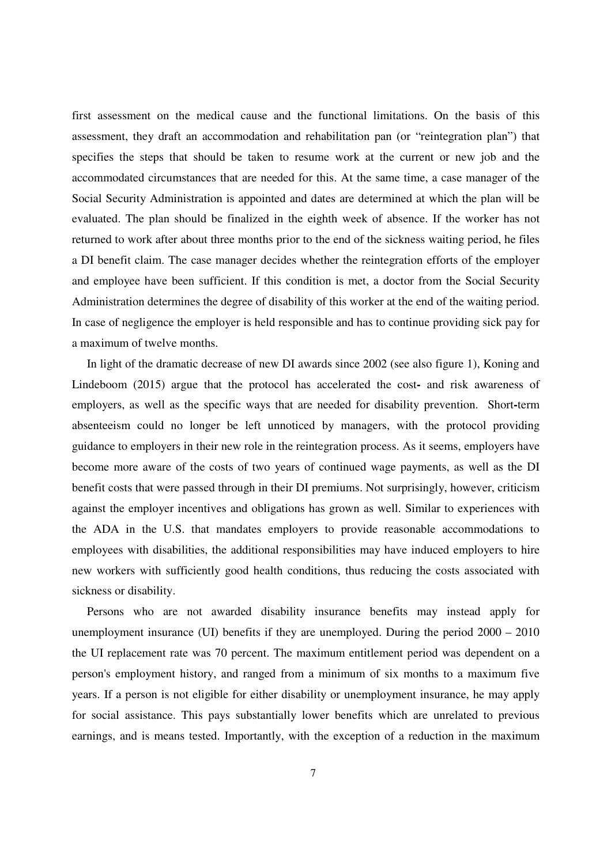first assessment on the medical cause and the functional limitations. On the basis of this assessment, they draft an accommodation and rehabilitation pan (or "reintegration plan") that specifies the steps that should be taken to resume work at the current or new job and the accommodated circumstances that are needed for this. At the same time, a case manager of the Social Security Administration is appointed and dates are determined at which the plan will be evaluated. The plan should be finalized in the eighth week of absence. If the worker has not returned to work after about three months prior to the end of the sickness waiting period, he files a DI benefit claim. The case manager decides whether the reintegration efforts of the employer and employee have been sufficient. If this condition is met, a doctor from the Social Security Administration determines the degree of disability of this worker at the end of the waiting period. In case of negligence the employer is held responsible and has to continue providing sick pay for a maximum of twelve months.

In light of the dramatic decrease of new DI awards since 2002 (see also figure 1), Koning and Lindeboom (2015) argue that the protocol has accelerated the cost**-** and risk awareness of employers, as well as the specific ways that are needed for disability prevention. Short**-**term absenteeism could no longer be left unnoticed by managers, with the protocol providing guidance to employers in their new role in the reintegration process. As it seems, employers have become more aware of the costs of two years of continued wage payments, as well as the DI benefit costs that were passed through in their DI premiums. Not surprisingly, however, criticism against the employer incentives and obligations has grown as well. Similar to experiences with the ADA in the U.S. that mandates employers to provide reasonable accommodations to employees with disabilities, the additional responsibilities may have induced employers to hire new workers with sufficiently good health conditions, thus reducing the costs associated with sickness or disability.

Persons who are not awarded disability insurance benefits may instead apply for unemployment insurance (UI) benefits if they are unemployed. During the period 2000 – 2010 the UI replacement rate was 70 percent. The maximum entitlement period was dependent on a person's employment history, and ranged from a minimum of six months to a maximum five years. If a person is not eligible for either disability or unemployment insurance, he may apply for social assistance. This pays substantially lower benefits which are unrelated to previous earnings, and is means tested. Importantly, with the exception of a reduction in the maximum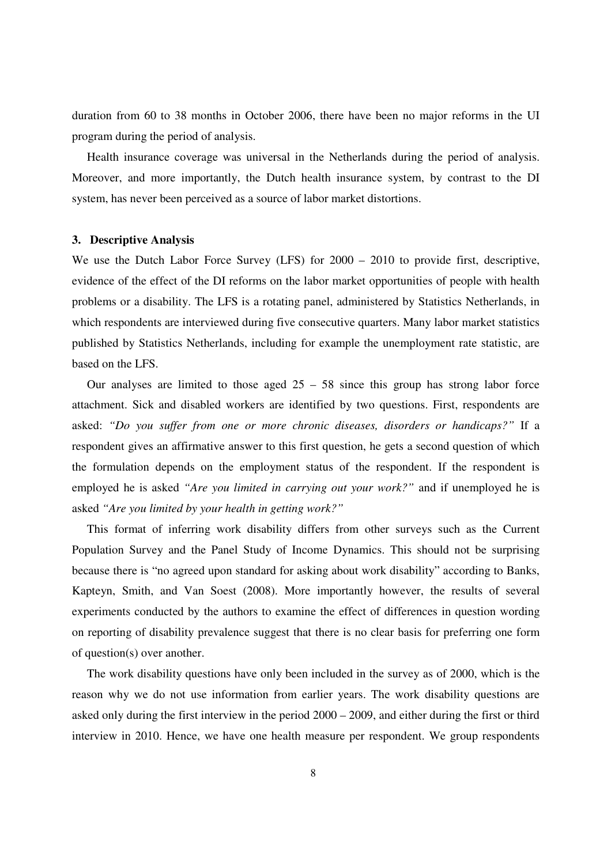duration from 60 to 38 months in October 2006, there have been no major reforms in the UI program during the period of analysis.

Health insurance coverage was universal in the Netherlands during the period of analysis. Moreover, and more importantly, the Dutch health insurance system, by contrast to the DI system, has never been perceived as a source of labor market distortions.

#### **3. Descriptive Analysis**

We use the Dutch Labor Force Survey (LFS) for  $2000 - 2010$  to provide first, descriptive, evidence of the effect of the DI reforms on the labor market opportunities of people with health problems or a disability. The LFS is a rotating panel, administered by Statistics Netherlands, in which respondents are interviewed during five consecutive quarters. Many labor market statistics published by Statistics Netherlands, including for example the unemployment rate statistic, are based on the LFS.

Our analyses are limited to those aged  $25 - 58$  since this group has strong labor force attachment. Sick and disabled workers are identified by two questions. First, respondents are asked: *"Do you suffer from one or more chronic diseases, disorders or handicaps?"* If a respondent gives an affirmative answer to this first question, he gets a second question of which the formulation depends on the employment status of the respondent. If the respondent is employed he is asked *"Are you limited in carrying out your work?"* and if unemployed he is asked *"Are you limited by your health in getting work?"*

This format of inferring work disability differs from other surveys such as the Current Population Survey and the Panel Study of Income Dynamics. This should not be surprising because there is "no agreed upon standard for asking about work disability" according to Banks, Kapteyn, Smith, and Van Soest (2008). More importantly however, the results of several experiments conducted by the authors to examine the effect of differences in question wording on reporting of disability prevalence suggest that there is no clear basis for preferring one form of question(s) over another.

The work disability questions have only been included in the survey as of 2000, which is the reason why we do not use information from earlier years. The work disability questions are asked only during the first interview in the period 2000 – 2009, and either during the first or third interview in 2010. Hence, we have one health measure per respondent. We group respondents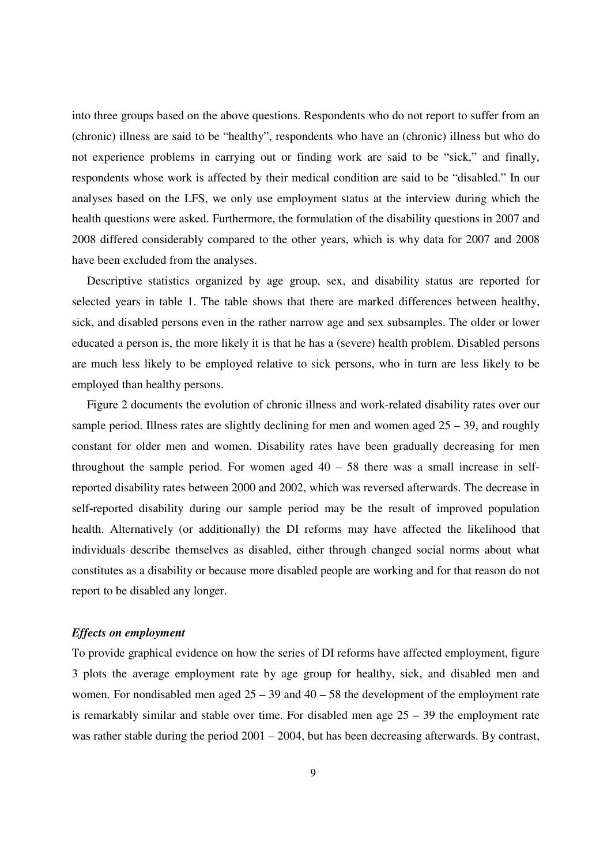into three groups based on the above questions. Respondents who do not report to suffer from an (chronic) illness are said to be "healthy", respondents who have an (chronic) illness but who do not experience problems in carrying out or finding work are said to be "sick," and finally, respondents whose work is affected by their medical condition are said to be "disabled." In our analyses based on the LFS, we only use employment status at the interview during which the health questions were asked. Furthermore, the formulation of the disability questions in 2007 and 2008 differed considerably compared to the other years, which is why data for 2007 and 2008 have been excluded from the analyses.

Descriptive statistics organized by age group, sex, and disability status are reported for selected years in table 1. The table shows that there are marked differences between healthy, sick, and disabled persons even in the rather narrow age and sex subsamples. The older or lower educated a person is, the more likely it is that he has a (severe) health problem. Disabled persons are much less likely to be employed relative to sick persons, who in turn are less likely to be employed than healthy persons.

Figure 2 documents the evolution of chronic illness and work-related disability rates over our sample period. Illness rates are slightly declining for men and women aged  $25 - 39$ , and roughly constant for older men and women. Disability rates have been gradually decreasing for men throughout the sample period. For women aged  $40 - 58$  there was a small increase in selfreported disability rates between 2000 and 2002, which was reversed afterwards. The decrease in self**-**reported disability during our sample period may be the result of improved population health. Alternatively (or additionally) the DI reforms may have affected the likelihood that individuals describe themselves as disabled, either through changed social norms about what constitutes as a disability or because more disabled people are working and for that reason do not report to be disabled any longer.

#### *Effects on employment*

To provide graphical evidence on how the series of DI reforms have affected employment, figure 3 plots the average employment rate by age group for healthy, sick, and disabled men and women. For nondisabled men aged  $25 - 39$  and  $40 - 58$  the development of the employment rate is remarkably similar and stable over time. For disabled men age  $25 - 39$  the employment rate was rather stable during the period 2001 – 2004, but has been decreasing afterwards. By contrast,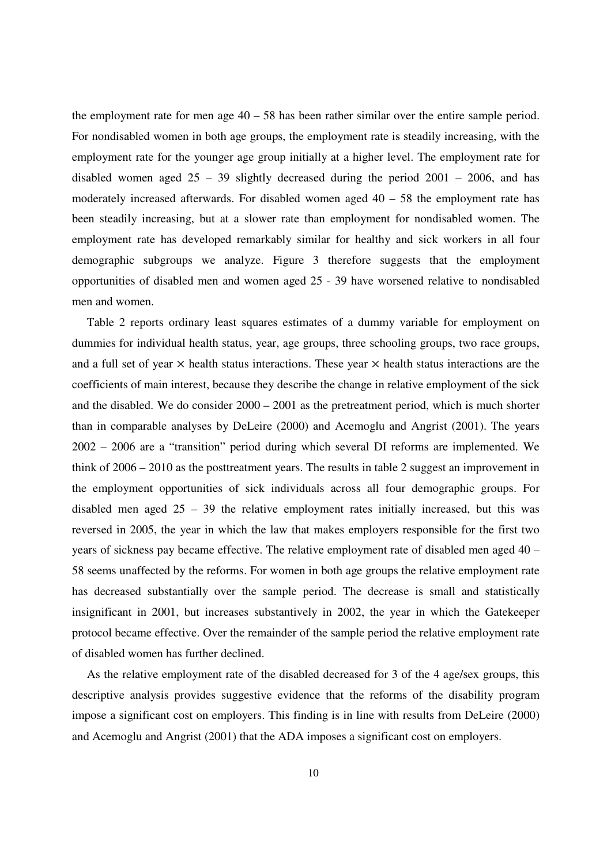the employment rate for men age  $40 - 58$  has been rather similar over the entire sample period. For nondisabled women in both age groups, the employment rate is steadily increasing, with the employment rate for the younger age group initially at a higher level. The employment rate for disabled women aged  $25 - 39$  slightly decreased during the period  $2001 - 2006$ , and has moderately increased afterwards. For disabled women aged  $40 - 58$  the employment rate has been steadily increasing, but at a slower rate than employment for nondisabled women. The employment rate has developed remarkably similar for healthy and sick workers in all four demographic subgroups we analyze. Figure 3 therefore suggests that the employment opportunities of disabled men and women aged 25 - 39 have worsened relative to nondisabled men and women.

Table 2 reports ordinary least squares estimates of a dummy variable for employment on dummies for individual health status, year, age groups, three schooling groups, two race groups, and a full set of year  $\times$  health status interactions. These year  $\times$  health status interactions are the coefficients of main interest, because they describe the change in relative employment of the sick and the disabled. We do consider 2000 – 2001 as the pretreatment period, which is much shorter than in comparable analyses by DeLeire (2000) and Acemoglu and Angrist (2001). The years 2002 – 2006 are a "transition" period during which several DI reforms are implemented. We think of 2006 – 2010 as the posttreatment years. The results in table 2 suggest an improvement in the employment opportunities of sick individuals across all four demographic groups. For disabled men aged  $25 - 39$  the relative employment rates initially increased, but this was reversed in 2005, the year in which the law that makes employers responsible for the first two years of sickness pay became effective. The relative employment rate of disabled men aged 40 – 58 seems unaffected by the reforms. For women in both age groups the relative employment rate has decreased substantially over the sample period. The decrease is small and statistically insignificant in 2001, but increases substantively in 2002, the year in which the Gatekeeper protocol became effective. Over the remainder of the sample period the relative employment rate of disabled women has further declined.

As the relative employment rate of the disabled decreased for 3 of the 4 age/sex groups, this descriptive analysis provides suggestive evidence that the reforms of the disability program impose a significant cost on employers. This finding is in line with results from DeLeire (2000) and Acemoglu and Angrist (2001) that the ADA imposes a significant cost on employers.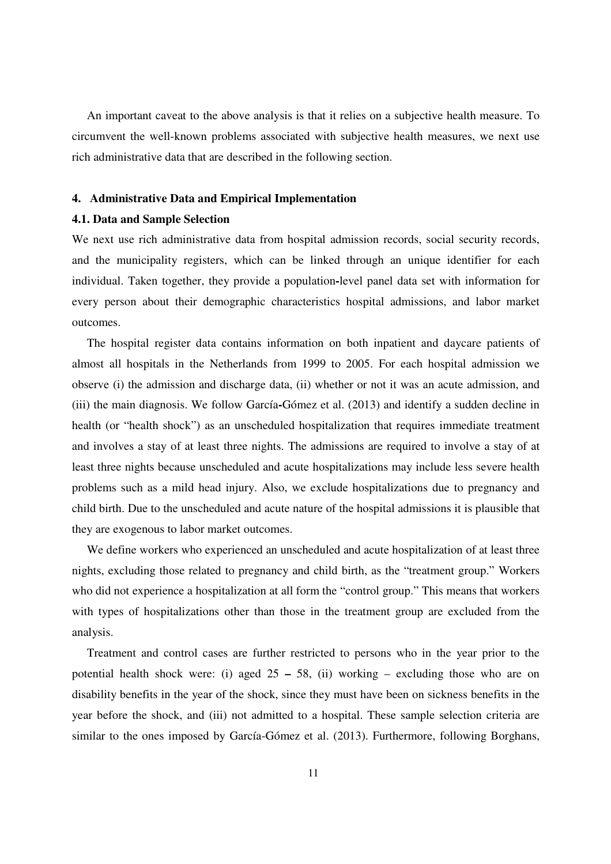An important caveat to the above analysis is that it relies on a subjective health measure. To circumvent the well-known problems associated with subjective health measures, we next use rich administrative data that are described in the following section.

#### **4. Administrative Data and Empirical Implementation**

#### **4.1. Data and Sample Selection**

We next use rich administrative data from hospital admission records, social security records, and the municipality registers, which can be linked through an unique identifier for each individual. Taken together, they provide a population**-**level panel data set with information for every person about their demographic characteristics hospital admissions, and labor market outcomes.

The hospital register data contains information on both inpatient and daycare patients of almost all hospitals in the Netherlands from 1999 to 2005. For each hospital admission we observe (i) the admission and discharge data, (ii) whether or not it was an acute admission, and (iii) the main diagnosis. We follow García**-**Gómez et al. (2013) and identify a sudden decline in health (or "health shock") as an unscheduled hospitalization that requires immediate treatment and involves a stay of at least three nights. The admissions are required to involve a stay of at least three nights because unscheduled and acute hospitalizations may include less severe health problems such as a mild head injury. Also, we exclude hospitalizations due to pregnancy and child birth. Due to the unscheduled and acute nature of the hospital admissions it is plausible that they are exogenous to labor market outcomes.

We define workers who experienced an unscheduled and acute hospitalization of at least three nights, excluding those related to pregnancy and child birth, as the "treatment group." Workers who did not experience a hospitalization at all form the "control group." This means that workers with types of hospitalizations other than those in the treatment group are excluded from the analysis.

Treatment and control cases are further restricted to persons who in the year prior to the potential health shock were: (i) aged 25 **–** 58, (ii) working – excluding those who are on disability benefits in the year of the shock, since they must have been on sickness benefits in the year before the shock, and (iii) not admitted to a hospital. These sample selection criteria are similar to the ones imposed by García-Gómez et al. (2013). Furthermore, following Borghans,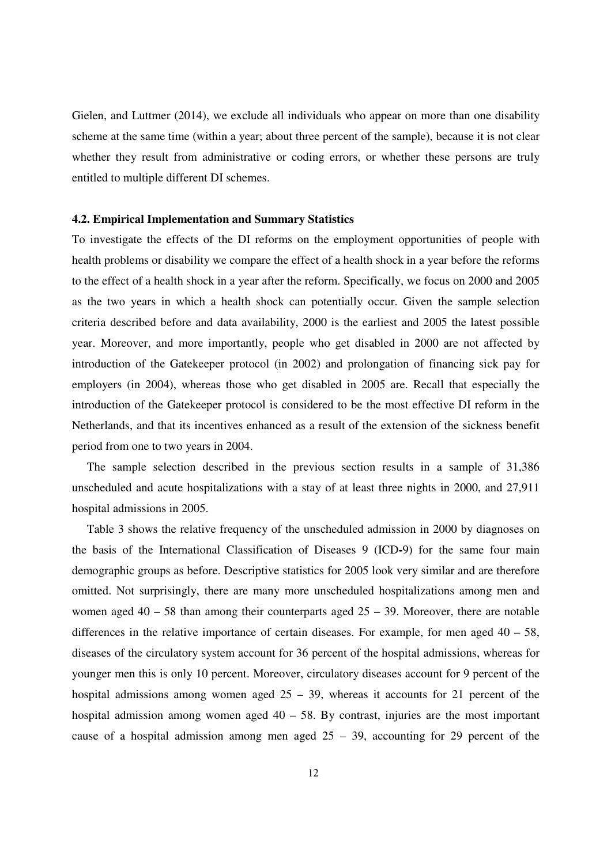Gielen, and Luttmer (2014), we exclude all individuals who appear on more than one disability scheme at the same time (within a year; about three percent of the sample), because it is not clear whether they result from administrative or coding errors, or whether these persons are truly entitled to multiple different DI schemes.

#### **4.2. Empirical Implementation and Summary Statistics**

To investigate the effects of the DI reforms on the employment opportunities of people with health problems or disability we compare the effect of a health shock in a year before the reforms to the effect of a health shock in a year after the reform. Specifically, we focus on 2000 and 2005 as the two years in which a health shock can potentially occur. Given the sample selection criteria described before and data availability, 2000 is the earliest and 2005 the latest possible year. Moreover, and more importantly, people who get disabled in 2000 are not affected by introduction of the Gatekeeper protocol (in 2002) and prolongation of financing sick pay for employers (in 2004), whereas those who get disabled in 2005 are. Recall that especially the introduction of the Gatekeeper protocol is considered to be the most effective DI reform in the Netherlands, and that its incentives enhanced as a result of the extension of the sickness benefit period from one to two years in 2004.

The sample selection described in the previous section results in a sample of 31,386 unscheduled and acute hospitalizations with a stay of at least three nights in 2000, and 27,911 hospital admissions in 2005.

Table 3 shows the relative frequency of the unscheduled admission in 2000 by diagnoses on the basis of the International Classification of Diseases 9 (ICD**-**9) for the same four main demographic groups as before. Descriptive statistics for 2005 look very similar and are therefore omitted. Not surprisingly, there are many more unscheduled hospitalizations among men and women aged  $40 - 58$  than among their counterparts aged  $25 - 39$ . Moreover, there are notable differences in the relative importance of certain diseases. For example, for men aged  $40 - 58$ , diseases of the circulatory system account for 36 percent of the hospital admissions, whereas for younger men this is only 10 percent. Moreover, circulatory diseases account for 9 percent of the hospital admissions among women aged  $25 - 39$ , whereas it accounts for 21 percent of the hospital admission among women aged  $40 - 58$ . By contrast, injuries are the most important cause of a hospital admission among men aged  $25 - 39$ , accounting for 29 percent of the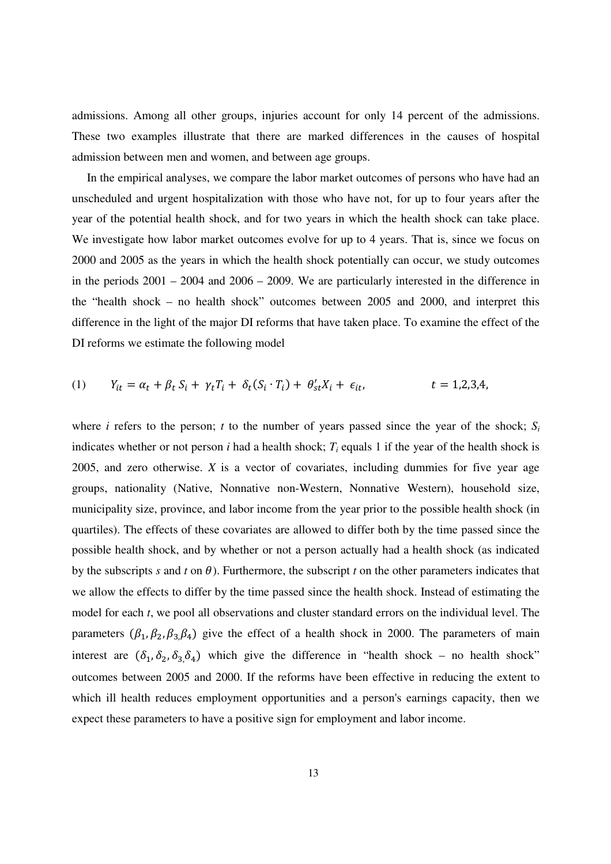admissions. Among all other groups, injuries account for only 14 percent of the admissions. These two examples illustrate that there are marked differences in the causes of hospital admission between men and women, and between age groups.

In the empirical analyses, we compare the labor market outcomes of persons who have had an unscheduled and urgent hospitalization with those who have not, for up to four years after the year of the potential health shock, and for two years in which the health shock can take place. We investigate how labor market outcomes evolve for up to 4 years. That is, since we focus on 2000 and 2005 as the years in which the health shock potentially can occur, we study outcomes in the periods 2001 – 2004 and 2006 – 2009. We are particularly interested in the difference in the "health shock – no health shock" outcomes between 2005 and 2000, and interpret this difference in the light of the major DI reforms that have taken place. To examine the effect of the DI reforms we estimate the following model

(1) 
$$
Y_{it} = \alpha_t + \beta_t S_i + \gamma_t T_i + \delta_t (S_i \cdot T_i) + \theta'_{st} X_i + \epsilon_{it},
$$
  $t = 1, 2, 3, 4,$ 

where *i* refers to the person; *t* to the number of years passed since the year of the shock;  $S_i$ indicates whether or not person  $i$  had a health shock;  $T_i$  equals 1 if the year of the health shock is 2005, and zero otherwise. *X* is a vector of covariates, including dummies for five year age groups, nationality (Native, Nonnative non-Western, Nonnative Western), household size, municipality size, province, and labor income from the year prior to the possible health shock (in quartiles). The effects of these covariates are allowed to differ both by the time passed since the possible health shock, and by whether or not a person actually had a health shock (as indicated by the subscripts *s* and *t* on  $\theta$ ). Furthermore, the subscript *t* on the other parameters indicates that we allow the effects to differ by the time passed since the health shock. Instead of estimating the model for each *t*, we pool all observations and cluster standard errors on the individual level. The parameters  $(\beta_1, \beta_2, \beta_3, \beta_4)$  give the effect of a health shock in 2000. The parameters of main interest are  $(\delta_1, \delta_2, \delta_3, \delta_4)$  which give the difference in "health shock – no health shock" outcomes between 2005 and 2000. If the reforms have been effective in reducing the extent to which ill health reduces employment opportunities and a person's earnings capacity, then we expect these parameters to have a positive sign for employment and labor income.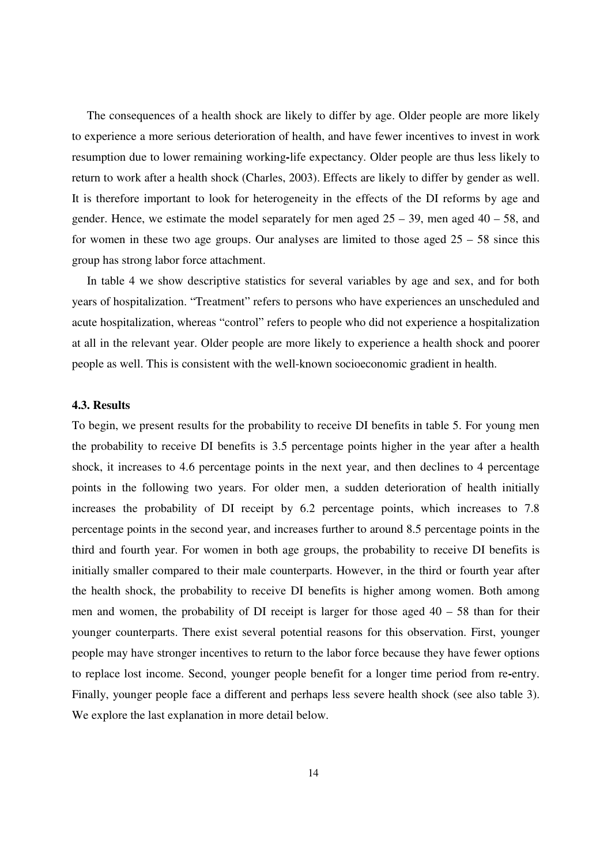The consequences of a health shock are likely to differ by age. Older people are more likely to experience a more serious deterioration of health, and have fewer incentives to invest in work resumption due to lower remaining working**-**life expectancy. Older people are thus less likely to return to work after a health shock (Charles, 2003). Effects are likely to differ by gender as well. It is therefore important to look for heterogeneity in the effects of the DI reforms by age and gender. Hence, we estimate the model separately for men aged  $25 - 39$ , men aged  $40 - 58$ , and for women in these two age groups. Our analyses are limited to those aged  $25 - 58$  since this group has strong labor force attachment.

In table 4 we show descriptive statistics for several variables by age and sex, and for both years of hospitalization. "Treatment" refers to persons who have experiences an unscheduled and acute hospitalization, whereas "control" refers to people who did not experience a hospitalization at all in the relevant year. Older people are more likely to experience a health shock and poorer people as well. This is consistent with the well-known socioeconomic gradient in health.

#### **4.3. Results**

To begin, we present results for the probability to receive DI benefits in table 5. For young men the probability to receive DI benefits is 3.5 percentage points higher in the year after a health shock, it increases to 4.6 percentage points in the next year, and then declines to 4 percentage points in the following two years. For older men, a sudden deterioration of health initially increases the probability of DI receipt by 6.2 percentage points, which increases to 7.8 percentage points in the second year, and increases further to around 8.5 percentage points in the third and fourth year. For women in both age groups, the probability to receive DI benefits is initially smaller compared to their male counterparts. However, in the third or fourth year after the health shock, the probability to receive DI benefits is higher among women. Both among men and women, the probability of DI receipt is larger for those aged  $40 - 58$  than for their younger counterparts. There exist several potential reasons for this observation. First, younger people may have stronger incentives to return to the labor force because they have fewer options to replace lost income. Second, younger people benefit for a longer time period from re**-**entry. Finally, younger people face a different and perhaps less severe health shock (see also table 3). We explore the last explanation in more detail below.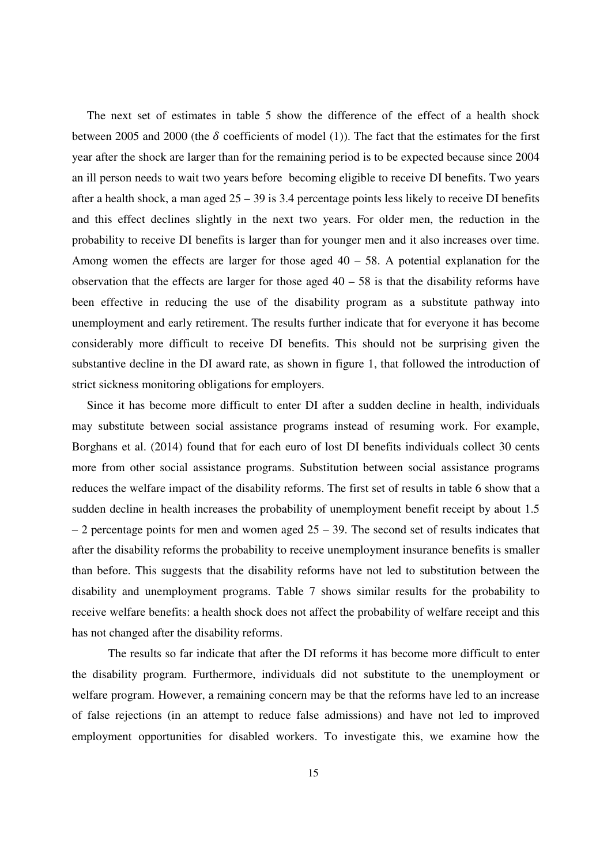The next set of estimates in table 5 show the difference of the effect of a health shock between 2005 and 2000 (the  $\delta$  coefficients of model (1)). The fact that the estimates for the first year after the shock are larger than for the remaining period is to be expected because since 2004 an ill person needs to wait two years before becoming eligible to receive DI benefits. Two years after a health shock, a man aged 25 – 39 is 3.4 percentage points less likely to receive DI benefits and this effect declines slightly in the next two years. For older men, the reduction in the probability to receive DI benefits is larger than for younger men and it also increases over time. Among women the effects are larger for those aged  $40 - 58$ . A potential explanation for the observation that the effects are larger for those aged  $40 - 58$  is that the disability reforms have been effective in reducing the use of the disability program as a substitute pathway into unemployment and early retirement. The results further indicate that for everyone it has become considerably more difficult to receive DI benefits. This should not be surprising given the substantive decline in the DI award rate, as shown in figure 1, that followed the introduction of strict sickness monitoring obligations for employers.

Since it has become more difficult to enter DI after a sudden decline in health, individuals may substitute between social assistance programs instead of resuming work. For example, Borghans et al. (2014) found that for each euro of lost DI benefits individuals collect 30 cents more from other social assistance programs. Substitution between social assistance programs reduces the welfare impact of the disability reforms. The first set of results in table 6 show that a sudden decline in health increases the probability of unemployment benefit receipt by about 1.5  $-2$  percentage points for men and women aged  $25 - 39$ . The second set of results indicates that after the disability reforms the probability to receive unemployment insurance benefits is smaller than before. This suggests that the disability reforms have not led to substitution between the disability and unemployment programs. Table 7 shows similar results for the probability to receive welfare benefits: a health shock does not affect the probability of welfare receipt and this has not changed after the disability reforms.

The results so far indicate that after the DI reforms it has become more difficult to enter the disability program. Furthermore, individuals did not substitute to the unemployment or welfare program. However, a remaining concern may be that the reforms have led to an increase of false rejections (in an attempt to reduce false admissions) and have not led to improved employment opportunities for disabled workers. To investigate this, we examine how the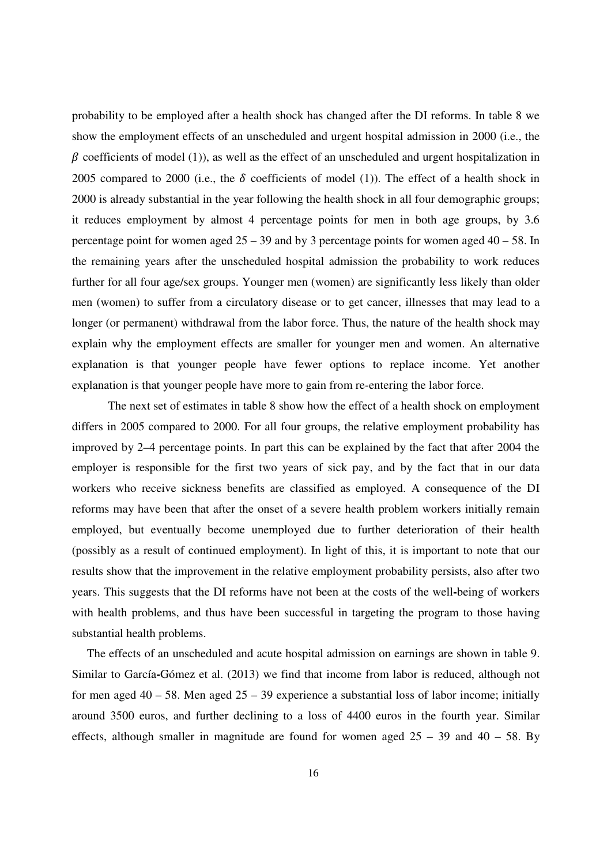probability to be employed after a health shock has changed after the DI reforms. In table 8 we show the employment effects of an unscheduled and urgent hospital admission in 2000 (i.e., the  $\beta$  coefficients of model (1)), as well as the effect of an unscheduled and urgent hospitalization in 2005 compared to 2000 (i.e., the  $\delta$  coefficients of model (1)). The effect of a health shock in 2000 is already substantial in the year following the health shock in all four demographic groups; it reduces employment by almost 4 percentage points for men in both age groups, by 3.6 percentage point for women aged  $25 - 39$  and by 3 percentage points for women aged  $40 - 58$ . In the remaining years after the unscheduled hospital admission the probability to work reduces further for all four age/sex groups. Younger men (women) are significantly less likely than older men (women) to suffer from a circulatory disease or to get cancer, illnesses that may lead to a longer (or permanent) withdrawal from the labor force. Thus, the nature of the health shock may explain why the employment effects are smaller for younger men and women. An alternative explanation is that younger people have fewer options to replace income. Yet another explanation is that younger people have more to gain from re-entering the labor force.

The next set of estimates in table 8 show how the effect of a health shock on employment differs in 2005 compared to 2000. For all four groups, the relative employment probability has improved by 2–4 percentage points. In part this can be explained by the fact that after 2004 the employer is responsible for the first two years of sick pay, and by the fact that in our data workers who receive sickness benefits are classified as employed. A consequence of the DI reforms may have been that after the onset of a severe health problem workers initially remain employed, but eventually become unemployed due to further deterioration of their health (possibly as a result of continued employment). In light of this, it is important to note that our results show that the improvement in the relative employment probability persists, also after two years. This suggests that the DI reforms have not been at the costs of the well**-**being of workers with health problems, and thus have been successful in targeting the program to those having substantial health problems.

The effects of an unscheduled and acute hospital admission on earnings are shown in table 9. Similar to García**-**Gómez et al. (2013) we find that income from labor is reduced, although not for men aged  $40 - 58$ . Men aged  $25 - 39$  experience a substantial loss of labor income; initially around 3500 euros, and further declining to a loss of 4400 euros in the fourth year. Similar effects, although smaller in magnitude are found for women aged  $25 - 39$  and  $40 - 58$ . By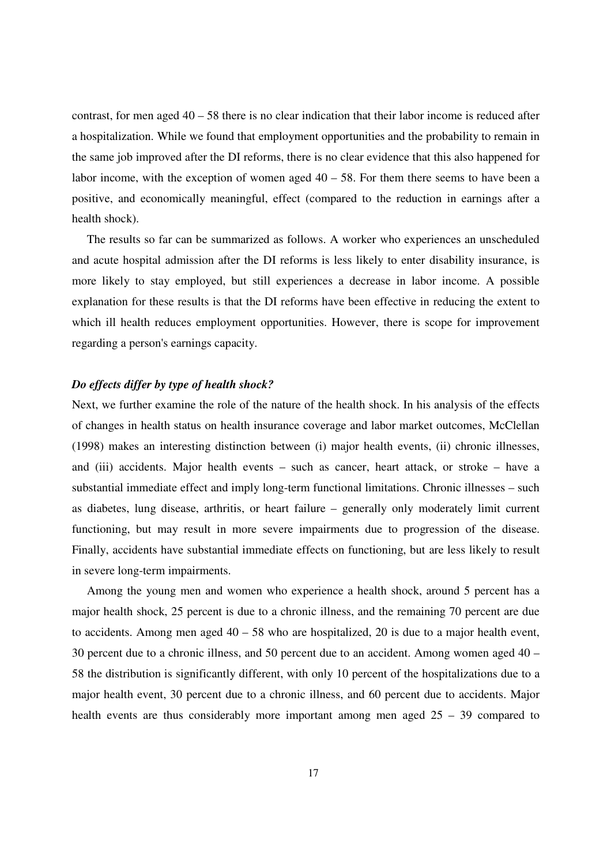contrast, for men aged  $40 - 58$  there is no clear indication that their labor income is reduced after a hospitalization. While we found that employment opportunities and the probability to remain in the same job improved after the DI reforms, there is no clear evidence that this also happened for labor income, with the exception of women aged  $40 - 58$ . For them there seems to have been a positive, and economically meaningful, effect (compared to the reduction in earnings after a health shock).

The results so far can be summarized as follows. A worker who experiences an unscheduled and acute hospital admission after the DI reforms is less likely to enter disability insurance, is more likely to stay employed, but still experiences a decrease in labor income. A possible explanation for these results is that the DI reforms have been effective in reducing the extent to which ill health reduces employment opportunities. However, there is scope for improvement regarding a person's earnings capacity.

#### *Do effects differ by type of health shock?*

Next, we further examine the role of the nature of the health shock. In his analysis of the effects of changes in health status on health insurance coverage and labor market outcomes, McClellan (1998) makes an interesting distinction between (i) major health events, (ii) chronic illnesses, and (iii) accidents. Major health events – such as cancer, heart attack, or stroke – have a substantial immediate effect and imply long-term functional limitations. Chronic illnesses – such as diabetes, lung disease, arthritis, or heart failure – generally only moderately limit current functioning, but may result in more severe impairments due to progression of the disease. Finally, accidents have substantial immediate effects on functioning, but are less likely to result in severe long-term impairments.

Among the young men and women who experience a health shock, around 5 percent has a major health shock, 25 percent is due to a chronic illness, and the remaining 70 percent are due to accidents. Among men aged  $40 - 58$  who are hospitalized, 20 is due to a major health event, 30 percent due to a chronic illness, and 50 percent due to an accident. Among women aged 40 – 58 the distribution is significantly different, with only 10 percent of the hospitalizations due to a major health event, 30 percent due to a chronic illness, and 60 percent due to accidents. Major health events are thus considerably more important among men aged  $25 - 39$  compared to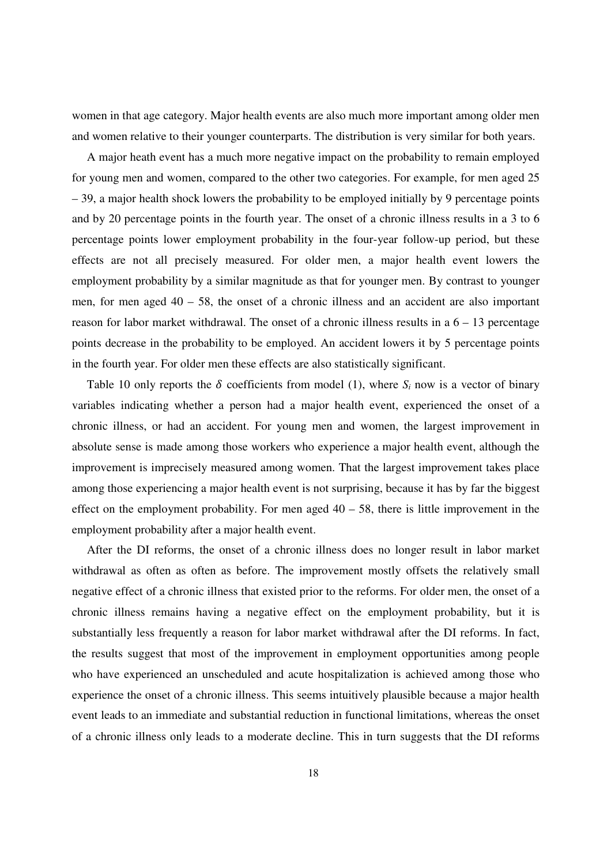women in that age category. Major health events are also much more important among older men and women relative to their younger counterparts. The distribution is very similar for both years.

A major heath event has a much more negative impact on the probability to remain employed for young men and women, compared to the other two categories. For example, for men aged 25 – 39, a major health shock lowers the probability to be employed initially by 9 percentage points and by 20 percentage points in the fourth year. The onset of a chronic illness results in a 3 to 6 percentage points lower employment probability in the four-year follow-up period, but these effects are not all precisely measured. For older men, a major health event lowers the employment probability by a similar magnitude as that for younger men. By contrast to younger men, for men aged  $40 - 58$ , the onset of a chronic illness and an accident are also important reason for labor market withdrawal. The onset of a chronic illness results in a 6 – 13 percentage points decrease in the probability to be employed. An accident lowers it by 5 percentage points in the fourth year. For older men these effects are also statistically significant.

Table 10 only reports the  $\delta$  coefficients from model (1), where  $S_i$  now is a vector of binary variables indicating whether a person had a major health event, experienced the onset of a chronic illness, or had an accident. For young men and women, the largest improvement in absolute sense is made among those workers who experience a major health event, although the improvement is imprecisely measured among women. That the largest improvement takes place among those experiencing a major health event is not surprising, because it has by far the biggest effect on the employment probability. For men aged  $40 - 58$ , there is little improvement in the employment probability after a major health event.

After the DI reforms, the onset of a chronic illness does no longer result in labor market withdrawal as often as often as before. The improvement mostly offsets the relatively small negative effect of a chronic illness that existed prior to the reforms. For older men, the onset of a chronic illness remains having a negative effect on the employment probability, but it is substantially less frequently a reason for labor market withdrawal after the DI reforms. In fact, the results suggest that most of the improvement in employment opportunities among people who have experienced an unscheduled and acute hospitalization is achieved among those who experience the onset of a chronic illness. This seems intuitively plausible because a major health event leads to an immediate and substantial reduction in functional limitations, whereas the onset of a chronic illness only leads to a moderate decline. This in turn suggests that the DI reforms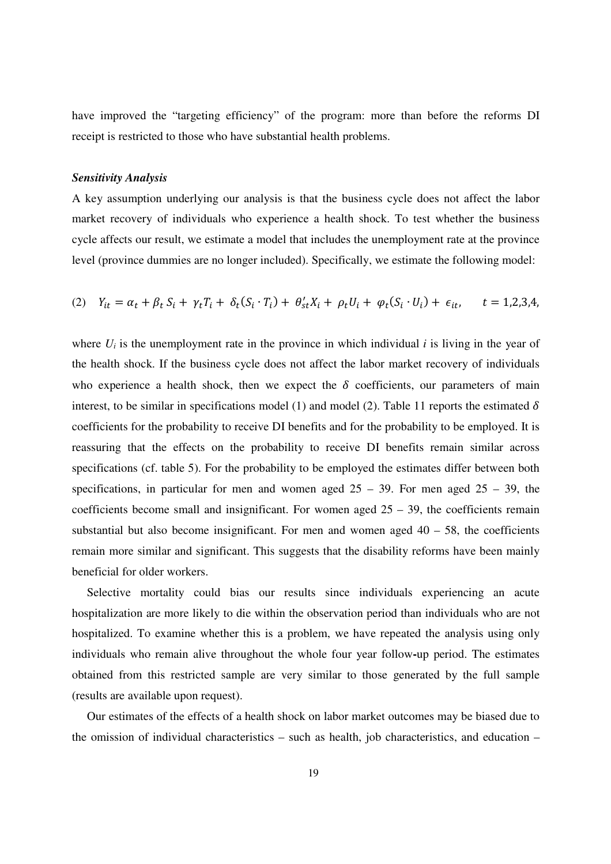have improved the "targeting efficiency" of the program: more than before the reforms DI receipt is restricted to those who have substantial health problems.

#### *Sensitivity Analysis*

A key assumption underlying our analysis is that the business cycle does not affect the labor market recovery of individuals who experience a health shock. To test whether the business cycle affects our result, we estimate a model that includes the unemployment rate at the province level (province dummies are no longer included). Specifically, we estimate the following model:

(2) 
$$
Y_{it} = \alpha_t + \beta_t S_i + \gamma_t T_i + \delta_t (S_i \cdot T_i) + \theta'_{st} X_i + \rho_t U_i + \varphi_t (S_i \cdot U_i) + \epsilon_{it}, \quad t = 1,2,3,4,
$$

where  $U_i$  is the unemployment rate in the province in which individual *i* is living in the year of the health shock. If the business cycle does not affect the labor market recovery of individuals who experience a health shock, then we expect the  $\delta$  coefficients, our parameters of main interest, to be similar in specifications model (1) and model (2). Table 11 reports the estimated  $\delta$ coefficients for the probability to receive DI benefits and for the probability to be employed. It is reassuring that the effects on the probability to receive DI benefits remain similar across specifications (cf. table 5). For the probability to be employed the estimates differ between both specifications, in particular for men and women aged  $25 - 39$ . For men aged  $25 - 39$ , the coefficients become small and insignificant. For women aged  $25 - 39$ , the coefficients remain substantial but also become insignificant. For men and women aged  $40 - 58$ , the coefficients remain more similar and significant. This suggests that the disability reforms have been mainly beneficial for older workers.

Selective mortality could bias our results since individuals experiencing an acute hospitalization are more likely to die within the observation period than individuals who are not hospitalized. To examine whether this is a problem, we have repeated the analysis using only individuals who remain alive throughout the whole four year follow**-**up period. The estimates obtained from this restricted sample are very similar to those generated by the full sample (results are available upon request).

Our estimates of the effects of a health shock on labor market outcomes may be biased due to the omission of individual characteristics – such as health, job characteristics, and education –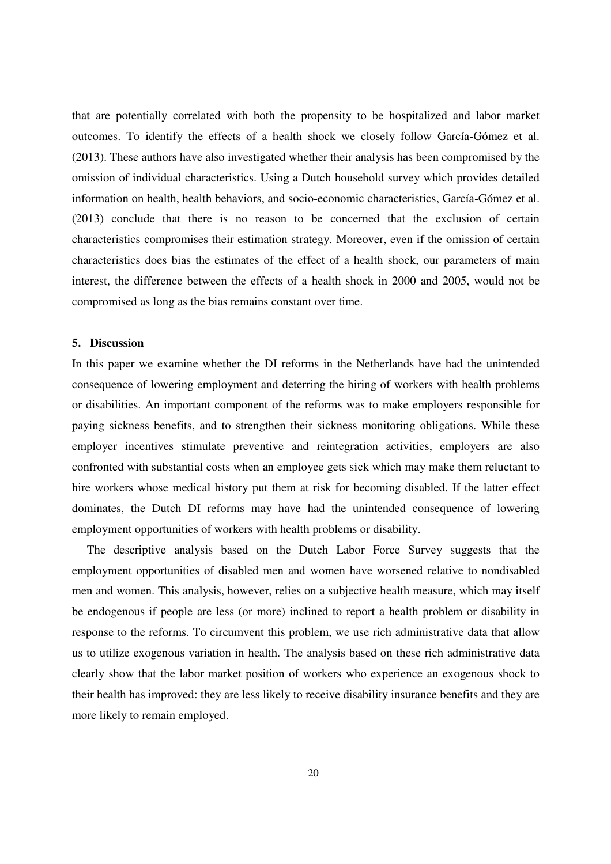that are potentially correlated with both the propensity to be hospitalized and labor market outcomes. To identify the effects of a health shock we closely follow García**-**Gómez et al. (2013). These authors have also investigated whether their analysis has been compromised by the omission of individual characteristics. Using a Dutch household survey which provides detailed information on health, health behaviors, and socio-economic characteristics, García**-**Gómez et al. (2013) conclude that there is no reason to be concerned that the exclusion of certain characteristics compromises their estimation strategy. Moreover, even if the omission of certain characteristics does bias the estimates of the effect of a health shock, our parameters of main interest, the difference between the effects of a health shock in 2000 and 2005, would not be compromised as long as the bias remains constant over time.

#### **5. Discussion**

In this paper we examine whether the DI reforms in the Netherlands have had the unintended consequence of lowering employment and deterring the hiring of workers with health problems or disabilities. An important component of the reforms was to make employers responsible for paying sickness benefits, and to strengthen their sickness monitoring obligations. While these employer incentives stimulate preventive and reintegration activities, employers are also confronted with substantial costs when an employee gets sick which may make them reluctant to hire workers whose medical history put them at risk for becoming disabled. If the latter effect dominates, the Dutch DI reforms may have had the unintended consequence of lowering employment opportunities of workers with health problems or disability.

The descriptive analysis based on the Dutch Labor Force Survey suggests that the employment opportunities of disabled men and women have worsened relative to nondisabled men and women. This analysis, however, relies on a subjective health measure, which may itself be endogenous if people are less (or more) inclined to report a health problem or disability in response to the reforms. To circumvent this problem, we use rich administrative data that allow us to utilize exogenous variation in health. The analysis based on these rich administrative data clearly show that the labor market position of workers who experience an exogenous shock to their health has improved: they are less likely to receive disability insurance benefits and they are more likely to remain employed.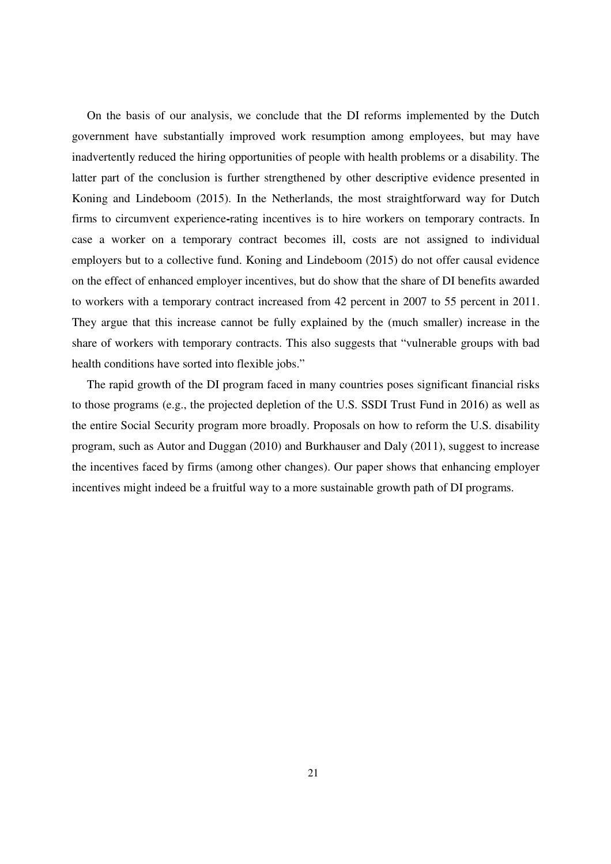On the basis of our analysis, we conclude that the DI reforms implemented by the Dutch government have substantially improved work resumption among employees, but may have inadvertently reduced the hiring opportunities of people with health problems or a disability. The latter part of the conclusion is further strengthened by other descriptive evidence presented in Koning and Lindeboom (2015). In the Netherlands, the most straightforward way for Dutch firms to circumvent experience**-**rating incentives is to hire workers on temporary contracts. In case a worker on a temporary contract becomes ill, costs are not assigned to individual employers but to a collective fund. Koning and Lindeboom (2015) do not offer causal evidence on the effect of enhanced employer incentives, but do show that the share of DI benefits awarded to workers with a temporary contract increased from 42 percent in 2007 to 55 percent in 2011. They argue that this increase cannot be fully explained by the (much smaller) increase in the share of workers with temporary contracts. This also suggests that "vulnerable groups with bad health conditions have sorted into flexible jobs."

The rapid growth of the DI program faced in many countries poses significant financial risks to those programs (e.g., the projected depletion of the U.S. SSDI Trust Fund in 2016) as well as the entire Social Security program more broadly. Proposals on how to reform the U.S. disability program, such as Autor and Duggan (2010) and Burkhauser and Daly (2011), suggest to increase the incentives faced by firms (among other changes). Our paper shows that enhancing employer incentives might indeed be a fruitful way to a more sustainable growth path of DI programs.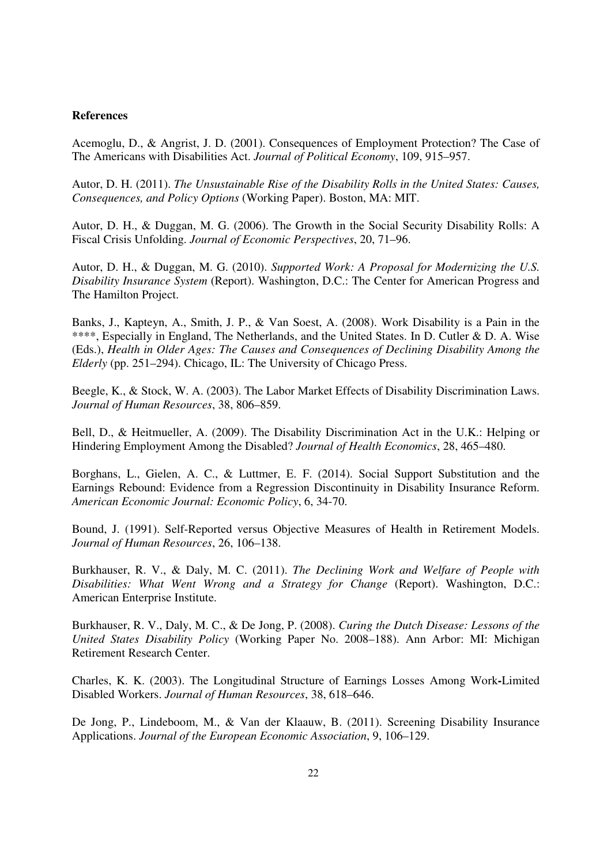#### **References**

Acemoglu, D., & Angrist, J. D. (2001). Consequences of Employment Protection? The Case of The Americans with Disabilities Act. *Journal of Political Economy*, 109, 915–957.

Autor, D. H. (2011). *The Unsustainable Rise of the Disability Rolls in the United States: Causes, Consequences, and Policy Options* (Working Paper). Boston, MA: MIT.

Autor, D. H., & Duggan, M. G. (2006). The Growth in the Social Security Disability Rolls: A Fiscal Crisis Unfolding. *Journal of Economic Perspectives*, 20, 71–96.

Autor, D. H., & Duggan, M. G. (2010). *Supported Work: A Proposal for Modernizing the U.S. Disability Insurance System* (Report). Washington, D.C.: The Center for American Progress and The Hamilton Project.

Banks, J., Kapteyn, A., Smith, J. P., & Van Soest, A. (2008). Work Disability is a Pain in the \*\*\*\*, Especially in England, The Netherlands, and the United States. In D. Cutler & D. A. Wise (Eds.), *Health in Older Ages: The Causes and Consequences of Declining Disability Among the Elderly* (pp. 251–294). Chicago, IL: The University of Chicago Press.

Beegle, K., & Stock, W. A. (2003). The Labor Market Effects of Disability Discrimination Laws. *Journal of Human Resources*, 38, 806–859.

Bell, D., & Heitmueller, A. (2009). The Disability Discrimination Act in the U.K.: Helping or Hindering Employment Among the Disabled? *Journal of Health Economics*, 28, 465–480.

Borghans, L., Gielen, A. C., & Luttmer, E. F. (2014). Social Support Substitution and the Earnings Rebound: Evidence from a Regression Discontinuity in Disability Insurance Reform. *American Economic Journal: Economic Policy*, 6, 34-70.

Bound, J. (1991). Self-Reported versus Objective Measures of Health in Retirement Models. *Journal of Human Resources*, 26, 106–138.

Burkhauser, R. V., & Daly, M. C. (2011). *The Declining Work and Welfare of People with Disabilities: What Went Wrong and a Strategy for Change* (Report). Washington, D.C.: American Enterprise Institute.

Burkhauser, R. V., Daly, M. C., & De Jong, P. (2008). *Curing the Dutch Disease: Lessons of the United States Disability Policy* (Working Paper No. 2008–188). Ann Arbor: MI: Michigan Retirement Research Center.

Charles, K. K. (2003). The Longitudinal Structure of Earnings Losses Among Work**-**Limited Disabled Workers. *Journal of Human Resources*, 38, 618–646.

De Jong, P., Lindeboom, M., & Van der Klaauw, B. (2011). Screening Disability Insurance Applications. *Journal of the European Economic Association*, 9, 106–129.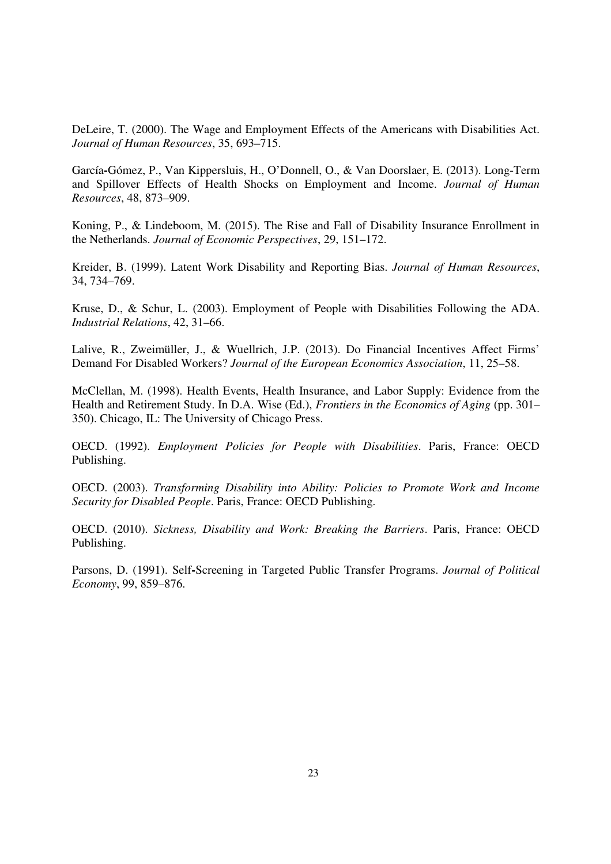DeLeire, T. (2000). The Wage and Employment Effects of the Americans with Disabilities Act. *Journal of Human Resources*, 35, 693–715.

García**-**Gómez, P., Van Kippersluis, H., O'Donnell, O., & Van Doorslaer, E. (2013). Long-Term and Spillover Effects of Health Shocks on Employment and Income. *Journal of Human Resources*, 48, 873–909.

Koning, P., & Lindeboom, M. (2015). The Rise and Fall of Disability Insurance Enrollment in the Netherlands. *Journal of Economic Perspectives*, 29, 151–172.

Kreider, B. (1999). Latent Work Disability and Reporting Bias. *Journal of Human Resources*, 34, 734–769.

Kruse, D., & Schur, L. (2003). Employment of People with Disabilities Following the ADA. *Industrial Relations*, 42, 31–66.

Lalive, R., Zweimüller, J., & Wuellrich, J.P. (2013). Do Financial Incentives Affect Firms' Demand For Disabled Workers? *Journal of the European Economics Association*, 11, 25–58.

McClellan, M. (1998). Health Events, Health Insurance, and Labor Supply: Evidence from the Health and Retirement Study. In D.A. Wise (Ed.), *Frontiers in the Economics of Aging* (pp. 301– 350). Chicago, IL: The University of Chicago Press.

OECD. (1992). *Employment Policies for People with Disabilities*. Paris, France: OECD Publishing.

OECD. (2003). *Transforming Disability into Ability: Policies to Promote Work and Income Security for Disabled People*. Paris, France: OECD Publishing.

OECD. (2010). *Sickness, Disability and Work: Breaking the Barriers*. Paris, France: OECD Publishing.

Parsons, D. (1991). Self**-**Screening in Targeted Public Transfer Programs. *Journal of Political Economy*, 99, 859–876.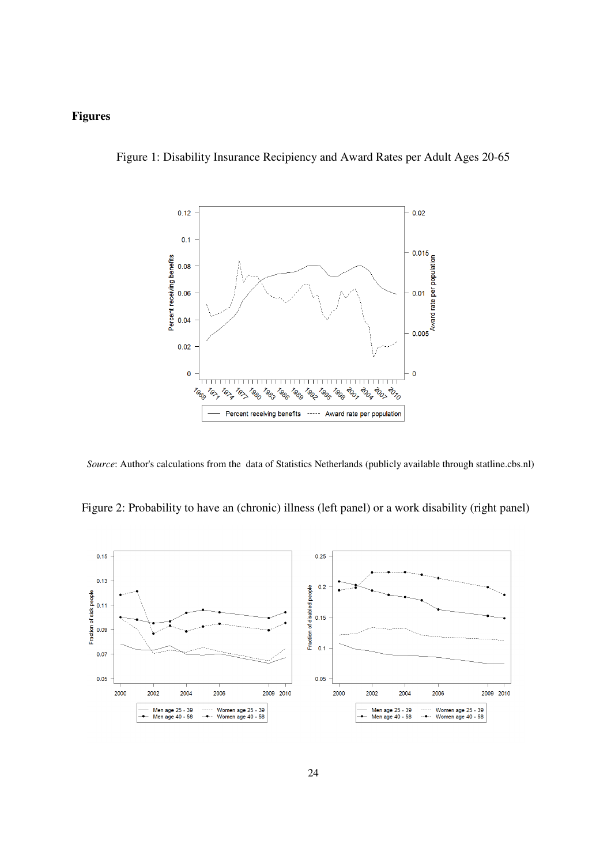#### **Figures**

Figure 1: Disability Insurance Recipiency and Award Rates per Adult Ages 20-65



*Source*: Author's calculations from the data of Statistics Netherlands (publicly available through statline.cbs.nl)

Figure 2: Probability to have an (chronic) illness (left panel) or a work disability (right panel)

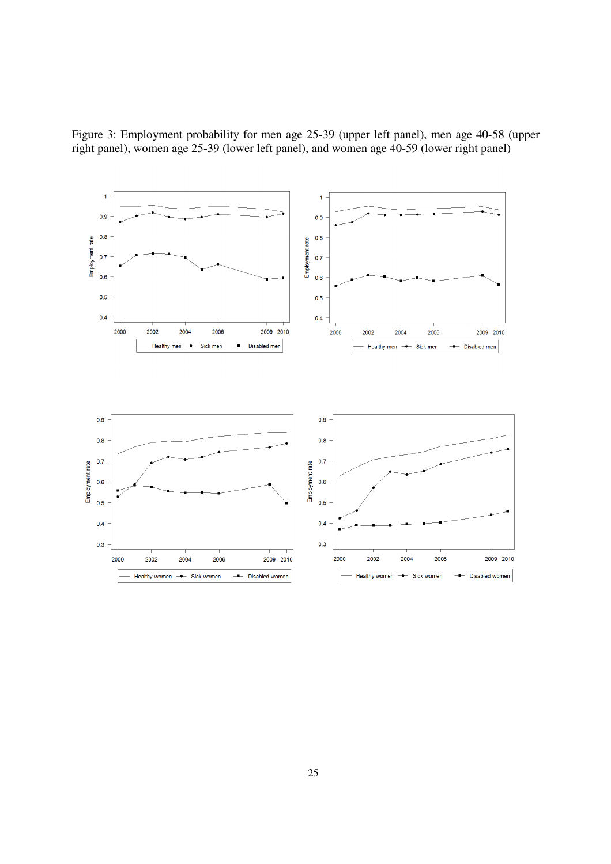

Figure 3: Employment probability for men age 25-39 (upper left panel), men age 40-58 (upper right panel), women age 25-39 (lower left panel), and women age 40-59 (lower right panel)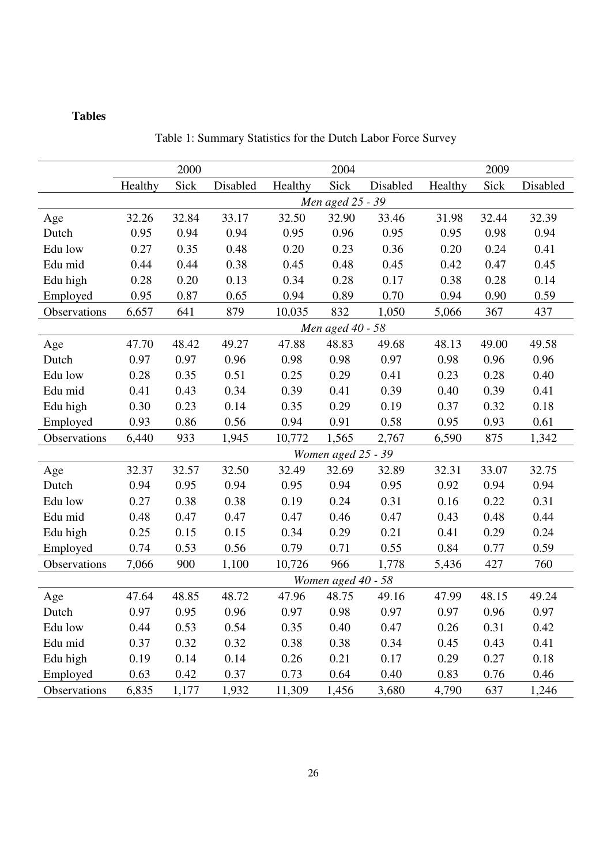### **Tables**

|              | 2000<br>2004     |       |          | 2009    |                    |          |         |       |          |
|--------------|------------------|-------|----------|---------|--------------------|----------|---------|-------|----------|
|              | Healthy          | Sick  | Disabled | Healthy | Sick               | Disabled | Healthy | Sick  | Disabled |
|              | Men aged 25 - 39 |       |          |         |                    |          |         |       |          |
| Age          | 32.26            | 32.84 | 33.17    | 32.50   | 32.90              | 33.46    | 31.98   | 32.44 | 32.39    |
| Dutch        | 0.95             | 0.94  | 0.94     | 0.95    | 0.96               | 0.95     | 0.95    | 0.98  | 0.94     |
| Edu low      | 0.27             | 0.35  | 0.48     | 0.20    | 0.23               | 0.36     | 0.20    | 0.24  | 0.41     |
| Edu mid      | 0.44             | 0.44  | 0.38     | 0.45    | 0.48               | 0.45     | 0.42    | 0.47  | 0.45     |
| Edu high     | 0.28             | 0.20  | 0.13     | 0.34    | 0.28               | 0.17     | 0.38    | 0.28  | 0.14     |
| Employed     | 0.95             | 0.87  | 0.65     | 0.94    | 0.89               | 0.70     | 0.94    | 0.90  | 0.59     |
| Observations | 6,657            | 641   | 879      | 10,035  | 832                | 1,050    | 5,066   | 367   | 437      |
|              |                  |       |          |         | Men aged 40 - 58   |          |         |       |          |
| Age          | 47.70            | 48.42 | 49.27    | 47.88   | 48.83              | 49.68    | 48.13   | 49.00 | 49.58    |
| Dutch        | 0.97             | 0.97  | 0.96     | 0.98    | 0.98               | 0.97     | 0.98    | 0.96  | 0.96     |
| Edu low      | 0.28             | 0.35  | 0.51     | 0.25    | 0.29               | 0.41     | 0.23    | 0.28  | 0.40     |
| Edu mid      | 0.41             | 0.43  | 0.34     | 0.39    | 0.41               | 0.39     | 0.40    | 0.39  | 0.41     |
| Edu high     | 0.30             | 0.23  | 0.14     | 0.35    | 0.29               | 0.19     | 0.37    | 0.32  | 0.18     |
| Employed     | 0.93             | 0.86  | 0.56     | 0.94    | 0.91               | 0.58     | 0.95    | 0.93  | 0.61     |
| Observations | 6,440            | 933   | 1,945    | 10,772  | 1,565              | 2,767    | 6,590   | 875   | 1,342    |
|              |                  |       |          |         | Women aged 25 - 39 |          |         |       |          |
| Age          | 32.37            | 32.57 | 32.50    | 32.49   | 32.69              | 32.89    | 32.31   | 33.07 | 32.75    |
| Dutch        | 0.94             | 0.95  | 0.94     | 0.95    | 0.94               | 0.95     | 0.92    | 0.94  | 0.94     |
| Edu low      | 0.27             | 0.38  | 0.38     | 0.19    | 0.24               | 0.31     | 0.16    | 0.22  | 0.31     |
| Edu mid      | 0.48             | 0.47  | 0.47     | 0.47    | 0.46               | 0.47     | 0.43    | 0.48  | 0.44     |
| Edu high     | 0.25             | 0.15  | 0.15     | 0.34    | 0.29               | 0.21     | 0.41    | 0.29  | 0.24     |
| Employed     | 0.74             | 0.53  | 0.56     | 0.79    | 0.71               | 0.55     | 0.84    | 0.77  | 0.59     |
| Observations | 7,066            | 900   | 1,100    | 10,726  | 966                | 1,778    | 5,436   | 427   | 760      |
|              |                  |       |          |         | Women aged 40 - 58 |          |         |       |          |
| Age          | 47.64            | 48.85 | 48.72    | 47.96   | 48.75              | 49.16    | 47.99   | 48.15 | 49.24    |
| Dutch        | 0.97             | 0.95  | 0.96     | 0.97    | 0.98               | 0.97     | 0.97    | 0.96  | 0.97     |
| Edu low      | 0.44             | 0.53  | 0.54     | 0.35    | 0.40               | 0.47     | 0.26    | 0.31  | 0.42     |
| Edu mid      | 0.37             | 0.32  | 0.32     | 0.38    | 0.38               | 0.34     | 0.45    | 0.43  | 0.41     |
| Edu high     | 0.19             | 0.14  | 0.14     | 0.26    | 0.21               | 0.17     | 0.29    | 0.27  | 0.18     |
| Employed     | 0.63             | 0.42  | 0.37     | 0.73    | 0.64               | 0.40     | 0.83    | 0.76  | 0.46     |
| Observations | 6,835            | 1,177 | 1,932    | 11,309  | 1,456              | 3,680    | 4,790   | 637   | 1,246    |

Table 1: Summary Statistics for the Dutch Labor Force Survey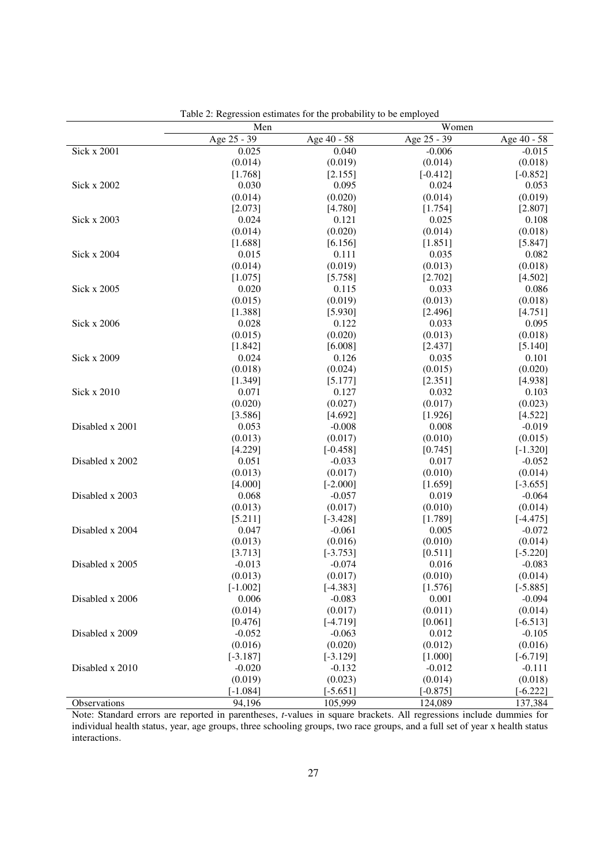|                    | Men         |             | Women       |             |  |
|--------------------|-------------|-------------|-------------|-------------|--|
|                    | Age 25 - 39 | Age 40 - 58 | Age 25 - 39 | Age 40 - 58 |  |
| <b>Sick x 2001</b> | 0.025       | 0.040       | $-0.006$    | $-0.015$    |  |
|                    | (0.014)     | (0.019)     | (0.014)     | (0.018)     |  |
|                    | [1.768]     | [2.155]     | $[-0.412]$  | $[-0.852]$  |  |
| Sick x 2002        | 0.030       | 0.095       | 0.024       | 0.053       |  |
|                    | (0.014)     | (0.020)     | (0.014)     | (0.019)     |  |
|                    | [2.073]     | [4.780]     | [1.754]     | [2.807]     |  |
| Sick x 2003        | 0.024       | 0.121       | 0.025       | 0.108       |  |
|                    | (0.014)     | (0.020)     | (0.014)     | (0.018)     |  |
|                    | [1.688]     | [6.156]     | [1.851]     | [5.847]     |  |
| Sick x 2004        | 0.015       | 0.111       | 0.035       | 0.082       |  |
|                    | (0.014)     | (0.019)     | (0.013)     | (0.018)     |  |
|                    | [1.075]     | [5.758]     | [2.702]     | [4.502]     |  |
| Sick x 2005        | 0.020       | 0.115       | 0.033       | 0.086       |  |
|                    | (0.015)     | (0.019)     | (0.013)     | (0.018)     |  |
|                    | [1.388]     | [5.930]     | [2.496]     | [4.751]     |  |
| Sick x 2006        | 0.028       | 0.122       | 0.033       | 0.095       |  |
|                    | (0.015)     | (0.020)     | (0.013)     | (0.018)     |  |
|                    | [1.842]     | [6.008]     | [2.437]     | [5.140]     |  |
| Sick x 2009        | 0.024       | 0.126       | 0.035       | 0.101       |  |
|                    | (0.018)     | (0.024)     | (0.015)     | (0.020)     |  |
|                    | [1.349]     | [5.177]     | [2.351]     | [4.938]     |  |
| Sick x 2010        | 0.071       | 0.127       | 0.032       | 0.103       |  |
|                    | (0.020)     | (0.027)     | (0.017)     | (0.023)     |  |
|                    | [3.586]     | [4.692]     | [1.926]     | [4.522]     |  |
| Disabled x 2001    | 0.053       | $-0.008$    | 0.008       | $-0.019$    |  |
|                    | (0.013)     | (0.017)     | (0.010)     | (0.015)     |  |
|                    | [4.229]     | $[-0.458]$  | [0.745]     | $[-1.320]$  |  |
| Disabled x 2002    | 0.051       | $-0.033$    | 0.017       | $-0.052$    |  |
|                    | (0.013)     | (0.017)     | (0.010)     | (0.014)     |  |
|                    | [4.000]     | $[-2.000]$  | [1.659]     | $[-3.655]$  |  |
| Disabled x 2003    | 0.068       | $-0.057$    | 0.019       | $-0.064$    |  |
|                    | (0.013)     | (0.017)     | (0.010)     | (0.014)     |  |
|                    | [5.211]     | $[-3.428]$  | [1.789]     | $[-4.475]$  |  |
| Disabled x 2004    | 0.047       | $-0.061$    | 0.005       | $-0.072$    |  |
|                    | (0.013)     | (0.016)     | (0.010)     | (0.014)     |  |
|                    | [3.713]     | $[-3.753]$  | [0.511]     | $[-5.220]$  |  |
| Disabled x 2005    | $-0.013$    | $-0.074$    | 0.016       | $-0.083$    |  |
|                    | (0.013)     | (0.017)     | (0.010)     | (0.014)     |  |
|                    | $[-1.002]$  | $[-4.383]$  | [1.576]     | $[-5.885]$  |  |
| Disabled x 2006    | 0.006       | $-0.083$    | 0.001       | $-0.094$    |  |
|                    | (0.014)     | (0.017)     | (0.011)     | (0.014)     |  |
|                    | [0.476]     | $[-4.719]$  | [0.061]     | $[-6.513]$  |  |
| Disabled x 2009    | $-0.052$    | $-0.063$    | 0.012       | $-0.105$    |  |
|                    | (0.016)     | (0.020)     | (0.012)     | (0.016)     |  |
|                    | $[-3.187]$  | $[-3.129]$  | [1.000]     | $[-6.719]$  |  |
| Disabled x 2010    | $-0.020$    | $-0.132$    | $-0.012$    | $-0.111$    |  |
|                    | (0.019)     | (0.023)     | (0.014)     | (0.018)     |  |
|                    | $[-1.084]$  | $[-5.651]$  | $[-0.875]$  | $[-6.222]$  |  |
| Observations       | 94,196      | 105,999     | 124,089     | 137,384     |  |

Table 2: Regression estimates for the probability to be employed

Note: Standard errors are reported in parentheses, *t*-values in square brackets. All regressions include dummies for individual health status, year, age groups, three schooling groups, two race groups, and a full set of year x health status interactions.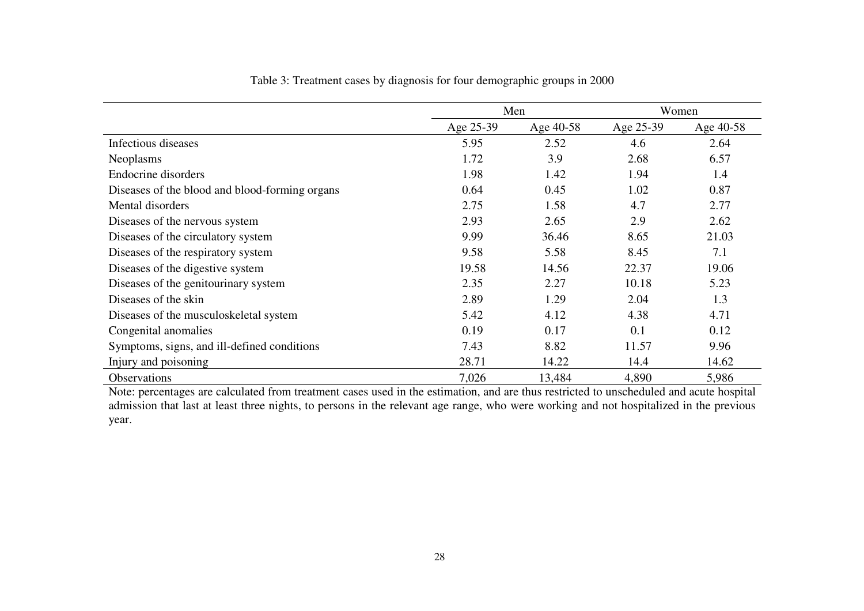|                                                | Men       |           | Women     |           |
|------------------------------------------------|-----------|-----------|-----------|-----------|
|                                                | Age 25-39 | Age 40-58 | Age 25-39 | Age 40-58 |
| Infectious diseases                            | 5.95      | 2.52      | 4.6       | 2.64      |
| Neoplasms                                      | 1.72      | 3.9       | 2.68      | 6.57      |
| Endocrine disorders                            | 1.98      | 1.42      | 1.94      | 1.4       |
| Diseases of the blood and blood-forming organs | 0.64      | 0.45      | 1.02      | 0.87      |
| Mental disorders                               | 2.75      | 1.58      | 4.7       | 2.77      |
| Diseases of the nervous system                 | 2.93      | 2.65      | 2.9       | 2.62      |
| Diseases of the circulatory system             | 9.99      | 36.46     | 8.65      | 21.03     |
| Diseases of the respiratory system             | 9.58      | 5.58      | 8.45      | 7.1       |
| Diseases of the digestive system               | 19.58     | 14.56     | 22.37     | 19.06     |
| Diseases of the genitourinary system           | 2.35      | 2.27      | 10.18     | 5.23      |
| Diseases of the skin                           | 2.89      | 1.29      | 2.04      | 1.3       |
| Diseases of the musculoskeletal system         | 5.42      | 4.12      | 4.38      | 4.71      |
| Congenital anomalies                           | 0.19      | 0.17      | 0.1       | 0.12      |
| Symptoms, signs, and ill-defined conditions    | 7.43      | 8.82      | 11.57     | 9.96      |
| Injury and poisoning                           | 28.71     | 14.22     | 14.4      | 14.62     |
| Observations                                   | 7,026     | 13,484    | 4,890     | 5,986     |

#### Table 3: Treatment cases by diagnosis for four demographic groups in 2000

Note: percentages are calculated from treatment cases used in the estimation, and are thus restricted to unscheduled and acute hospital<br>admission that last at least three nights, to persons in the relevant age range, who w year.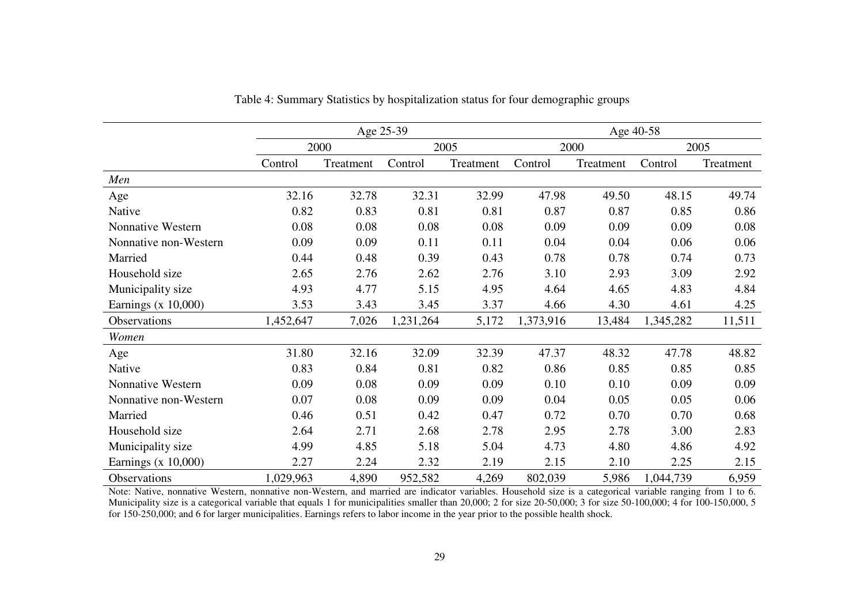|                          | Age 25-39 |           |           |           | Age 40-58 |           |           |           |
|--------------------------|-----------|-----------|-----------|-----------|-----------|-----------|-----------|-----------|
|                          |           | 2000      |           | 2005      |           | 2000      |           | 2005      |
|                          | Control   | Treatment | Control   | Treatment | Control   | Treatment | Control   | Treatment |
| Men                      |           |           |           |           |           |           |           |           |
| Age                      | 32.16     | 32.78     | 32.31     | 32.99     | 47.98     | 49.50     | 48.15     | 49.74     |
| Native                   | 0.82      | 0.83      | 0.81      | 0.81      | 0.87      | 0.87      | 0.85      | 0.86      |
| <b>Nonnative Western</b> | 0.08      | 0.08      | 0.08      | 0.08      | 0.09      | 0.09      | 0.09      | 0.08      |
| Nonnative non-Western    | 0.09      | 0.09      | 0.11      | 0.11      | 0.04      | 0.04      | 0.06      | 0.06      |
| Married                  | 0.44      | 0.48      | 0.39      | 0.43      | 0.78      | 0.78      | 0.74      | 0.73      |
| Household size           | 2.65      | 2.76      | 2.62      | 2.76      | 3.10      | 2.93      | 3.09      | 2.92      |
| Municipality size        | 4.93      | 4.77      | 5.15      | 4.95      | 4.64      | 4.65      | 4.83      | 4.84      |
| Earnings $(x 10,000)$    | 3.53      | 3.43      | 3.45      | 3.37      | 4.66      | 4.30      | 4.61      | 4.25      |
| Observations             | 1,452,647 | 7,026     | 1,231,264 | 5,172     | 1,373,916 | 13,484    | 1,345,282 | 11,511    |
| Women                    |           |           |           |           |           |           |           |           |
| Age                      | 31.80     | 32.16     | 32.09     | 32.39     | 47.37     | 48.32     | 47.78     | 48.82     |
| Native                   | 0.83      | 0.84      | 0.81      | 0.82      | 0.86      | 0.85      | 0.85      | 0.85      |
| <b>Nonnative Western</b> | 0.09      | 0.08      | 0.09      | 0.09      | 0.10      | 0.10      | 0.09      | 0.09      |
| Nonnative non-Western    | 0.07      | 0.08      | 0.09      | 0.09      | 0.04      | 0.05      | 0.05      | 0.06      |
| Married                  | 0.46      | 0.51      | 0.42      | 0.47      | 0.72      | 0.70      | 0.70      | 0.68      |
| Household size           | 2.64      | 2.71      | 2.68      | 2.78      | 2.95      | 2.78      | 3.00      | 2.83      |
| Municipality size        | 4.99      | 4.85      | 5.18      | 5.04      | 4.73      | 4.80      | 4.86      | 4.92      |
| Earnings $(x 10,000)$    | 2.27      | 2.24      | 2.32      | 2.19      | 2.15      | 2.10      | 2.25      | 2.15      |
| Observations             | 1,029,963 | 4,890     | 952,582   | 4,269     | 802,039   | 5,986     | 1,044,739 | 6,959     |

Table 4: Summary Statistics by hospitalization status for four demographic groups

Note: Native, nonnative Western, nonnative non-Western, and married are indicator variables. Household size is a categorical variable ranging from 1 to 6. Municipality size is a categorical variable that equals 1 for municipalities smaller than 20,000; 2 for size 20-50,000; 3 for size 50-100,000; 4 for 100-150,000, 5 for 150-250,000; and 6 for larger municipalities. Earnings refers to labor income in the year prior to the possible health shock.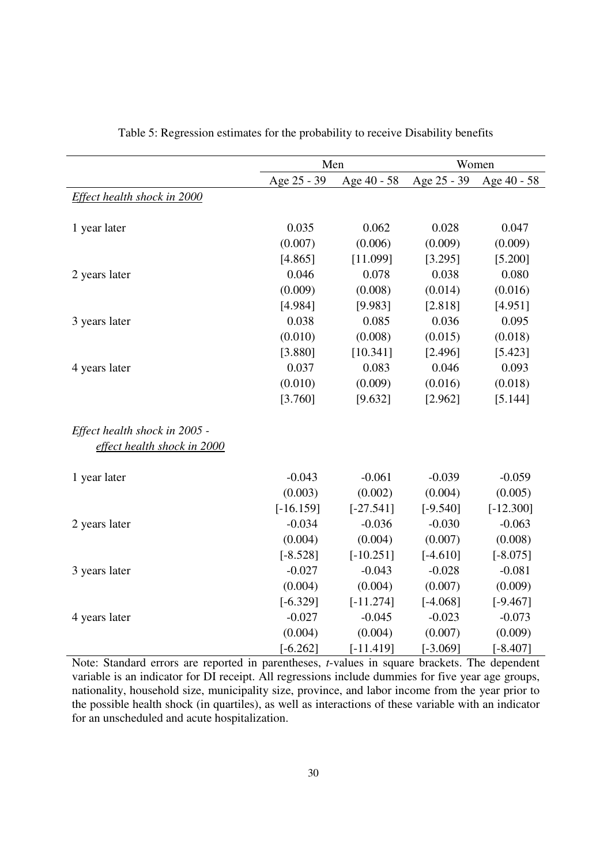|                               | Men         |             | Women       |             |
|-------------------------------|-------------|-------------|-------------|-------------|
|                               | Age 25 - 39 | Age 40 - 58 | Age 25 - 39 | Age 40 - 58 |
| Effect health shock in 2000   |             |             |             |             |
|                               |             |             |             |             |
| 1 year later                  | 0.035       | 0.062       | 0.028       | 0.047       |
|                               | (0.007)     | (0.006)     | (0.009)     | (0.009)     |
|                               | [4.865]     | [11.099]    | [3.295]     | [5.200]     |
| 2 years later                 | 0.046       | 0.078       | 0.038       | 0.080       |
|                               | (0.009)     | (0.008)     | (0.014)     | (0.016)     |
|                               | [4.984]     | [9.983]     | [2.818]     | [4.951]     |
| 3 years later                 | 0.038       | 0.085       | 0.036       | 0.095       |
|                               | (0.010)     | (0.008)     | (0.015)     | (0.018)     |
|                               | [3.880]     | [10.341]    | [2.496]     | [5.423]     |
| 4 years later                 | 0.037       | 0.083       | 0.046       | 0.093       |
|                               | (0.010)     | (0.009)     | (0.016)     | (0.018)     |
|                               | [3.760]     | [9.632]     | [2.962]     | [5.144]     |
| Effect health shock in 2005 - |             |             |             |             |
| effect health shock in 2000   |             |             |             |             |
| 1 year later                  | $-0.043$    | $-0.061$    | $-0.039$    | $-0.059$    |
|                               | (0.003)     | (0.002)     | (0.004)     | (0.005)     |
|                               | $[-16.159]$ | $[-27.541]$ | $[-9.540]$  | $[-12.300]$ |
| 2 years later                 | $-0.034$    | $-0.036$    | $-0.030$    | $-0.063$    |
|                               | (0.004)     | (0.004)     | (0.007)     | (0.008)     |
|                               | $[-8.528]$  | $[-10.251]$ | $[-4.610]$  | $[-8.075]$  |
| 3 years later                 | $-0.027$    | $-0.043$    | $-0.028$    | $-0.081$    |
|                               | (0.004)     | (0.004)     | (0.007)     | (0.009)     |
|                               | $[-6.329]$  | $[-11.274]$ | $[-4.068]$  | $[-9.467]$  |
| 4 years later                 | $-0.027$    | $-0.045$    | $-0.023$    | $-0.073$    |
|                               | (0.004)     | (0.004)     | (0.007)     | (0.009)     |
|                               | $[-6.262]$  | $[-11.419]$ | $[-3.069]$  | $[-8.407]$  |

Table 5: Regression estimates for the probability to receive Disability benefits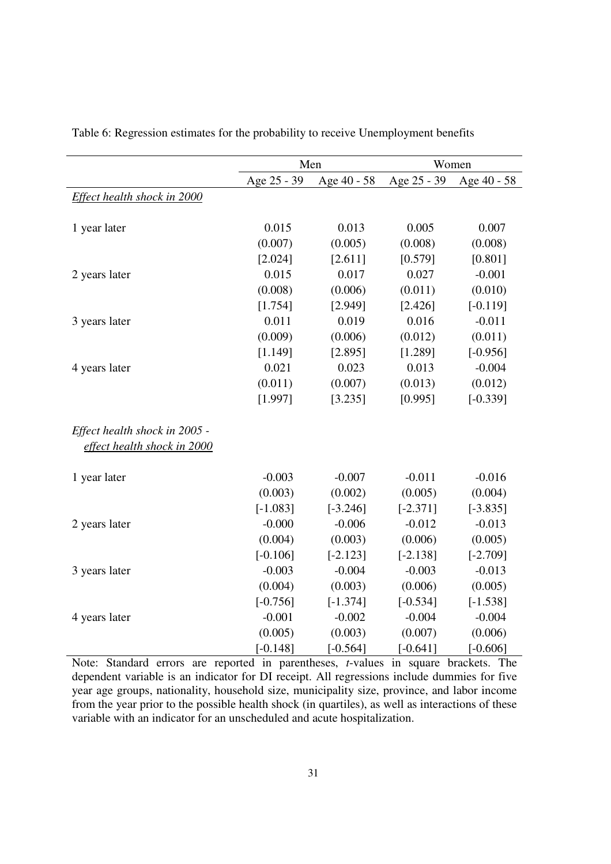|                               | Men         |             | Women       |             |  |
|-------------------------------|-------------|-------------|-------------|-------------|--|
|                               | Age 25 - 39 | Age 40 - 58 | Age 25 - 39 | Age 40 - 58 |  |
| Effect health shock in 2000   |             |             |             |             |  |
|                               |             |             |             |             |  |
| 1 year later                  | 0.015       | 0.013       | 0.005       | 0.007       |  |
|                               | (0.007)     | (0.005)     | (0.008)     | (0.008)     |  |
|                               | [2.024]     | [2.611]     | [0.579]     | [0.801]     |  |
| 2 years later                 | 0.015       | 0.017       | 0.027       | $-0.001$    |  |
|                               | (0.008)     | (0.006)     | (0.011)     | (0.010)     |  |
|                               | [1.754]     | [2.949]     | [2.426]     | $[-0.119]$  |  |
| 3 years later                 | 0.011       | 0.019       | 0.016       | $-0.011$    |  |
|                               | (0.009)     | (0.006)     | (0.012)     | (0.011)     |  |
|                               | [1.149]     | [2.895]     | [1.289]     | $[-0.956]$  |  |
| 4 years later                 | 0.021       | 0.023       | 0.013       | $-0.004$    |  |
|                               | (0.011)     | (0.007)     | (0.013)     | (0.012)     |  |
|                               | [1.997]     | [3.235]     | [0.995]     | $[-0.339]$  |  |
| Effect health shock in 2005 - |             |             |             |             |  |
| effect health shock in 2000   |             |             |             |             |  |
| 1 year later                  | $-0.003$    | $-0.007$    | $-0.011$    | $-0.016$    |  |
|                               | (0.003)     | (0.002)     | (0.005)     | (0.004)     |  |
|                               | $[-1.083]$  | $[-3.246]$  | $[-2.371]$  | $[-3.835]$  |  |
| 2 years later                 | $-0.000$    | $-0.006$    | $-0.012$    | $-0.013$    |  |
|                               | (0.004)     | (0.003)     | (0.006)     | (0.005)     |  |
|                               | $[-0.106]$  | $[-2.123]$  | $[-2.138]$  | $[-2.709]$  |  |
| 3 years later                 | $-0.003$    | $-0.004$    | $-0.003$    | $-0.013$    |  |
|                               | (0.004)     | (0.003)     | (0.006)     | (0.005)     |  |
|                               | $[-0.756]$  | $[-1.374]$  | $[-0.534]$  | $[-1.538]$  |  |
| 4 years later                 | $-0.001$    | $-0.002$    | $-0.004$    | $-0.004$    |  |
|                               | (0.005)     | (0.003)     | (0.007)     | (0.006)     |  |
|                               | $[-0.148]$  | $[-0.564]$  | $[-0.641]$  | $[-0.606]$  |  |

Table 6: Regression estimates for the probability to receive Unemployment benefits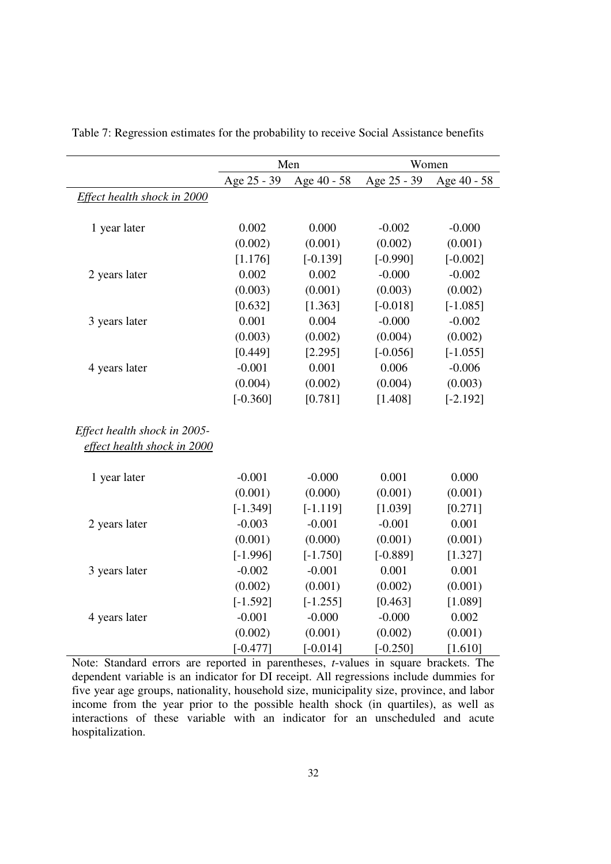|                              |             | Men         | Women       |             |  |
|------------------------------|-------------|-------------|-------------|-------------|--|
|                              | Age 25 - 39 | Age 40 - 58 | Age 25 - 39 | Age 40 - 58 |  |
| Effect health shock in 2000  |             |             |             |             |  |
|                              |             |             |             |             |  |
| 1 year later                 | 0.002       | 0.000       | $-0.002$    | $-0.000$    |  |
|                              | (0.002)     | (0.001)     | (0.002)     | (0.001)     |  |
|                              | [1.176]     | $[-0.139]$  | $[-0.990]$  | $[-0.002]$  |  |
| 2 years later                | 0.002       | 0.002       | $-0.000$    | $-0.002$    |  |
|                              | (0.003)     | (0.001)     | (0.003)     | (0.002)     |  |
|                              | [0.632]     | [1.363]     | $[-0.018]$  | $[-1.085]$  |  |
| 3 years later                | 0.001       | 0.004       | $-0.000$    | $-0.002$    |  |
|                              | (0.003)     | (0.002)     | (0.004)     | (0.002)     |  |
|                              | [0.449]     | [2.295]     | $[-0.056]$  | $[-1.055]$  |  |
| 4 years later                | $-0.001$    | 0.001       | 0.006       | $-0.006$    |  |
|                              | (0.004)     | (0.002)     | (0.004)     | (0.003)     |  |
|                              | $[-0.360]$  | [0.781]     | [1.408]     | $[-2.192]$  |  |
| Effect health shock in 2005- |             |             |             |             |  |
| effect health shock in 2000  |             |             |             |             |  |
| 1 year later                 | $-0.001$    | $-0.000$    | 0.001       | 0.000       |  |
|                              | (0.001)     | (0.000)     | (0.001)     | (0.001)     |  |
|                              | $[-1.349]$  | $[-1.119]$  | [1.039]     | [0.271]     |  |
| 2 years later                | $-0.003$    | $-0.001$    | $-0.001$    | 0.001       |  |
|                              | (0.001)     | (0.000)     | (0.001)     | (0.001)     |  |
|                              | $[-1.996]$  | $[-1.750]$  | $[-0.889]$  | [1.327]     |  |
| 3 years later                | $-0.002$    | $-0.001$    | 0.001       | 0.001       |  |
|                              | (0.002)     | (0.001)     | (0.002)     | (0.001)     |  |
|                              | $[-1.592]$  | $[-1.255]$  | [0.463]     | [1.089]     |  |
| 4 years later                | $-0.001$    | $-0.000$    | $-0.000$    | 0.002       |  |
|                              | (0.002)     | (0.001)     | (0.002)     | (0.001)     |  |
|                              | $[-0.477]$  | $[-0.014]$  | $[-0.250]$  | [1.610]     |  |

Table 7: Regression estimates for the probability to receive Social Assistance benefits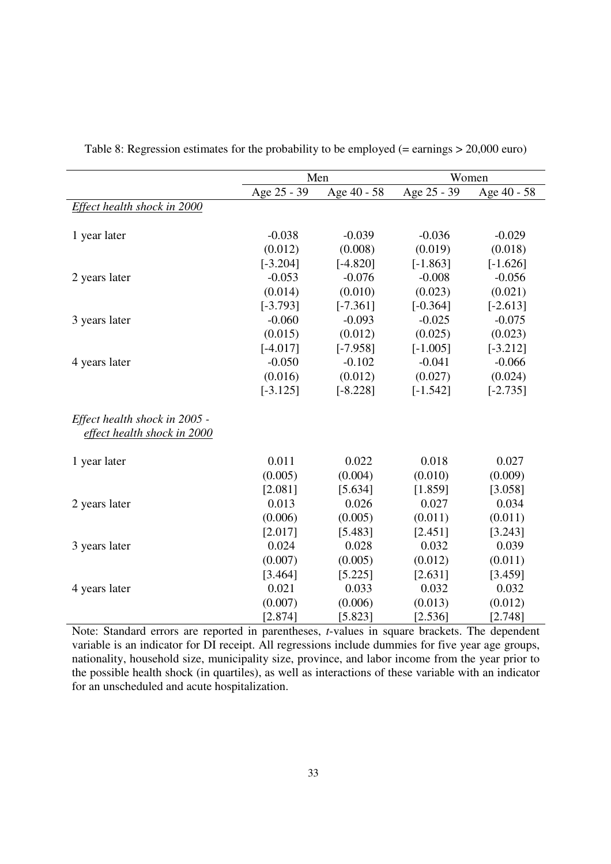|                                                              |             | Men         | Women       |             |
|--------------------------------------------------------------|-------------|-------------|-------------|-------------|
|                                                              | Age 25 - 39 | Age 40 - 58 | Age 25 - 39 | Age 40 - 58 |
| Effect health shock in 2000                                  |             |             |             |             |
| 1 year later                                                 | $-0.038$    | $-0.039$    | $-0.036$    | $-0.029$    |
|                                                              | (0.012)     | (0.008)     | (0.019)     | (0.018)     |
|                                                              | $[-3.204]$  | $[-4.820]$  | $[-1.863]$  | $[-1.626]$  |
| 2 years later                                                | $-0.053$    | $-0.076$    | $-0.008$    | $-0.056$    |
|                                                              | (0.014)     | (0.010)     | (0.023)     | (0.021)     |
|                                                              | $[-3.793]$  | $[-7.361]$  | $[-0.364]$  | $[-2.613]$  |
| 3 years later                                                | $-0.060$    | $-0.093$    | $-0.025$    | $-0.075$    |
|                                                              | (0.015)     | (0.012)     | (0.025)     | (0.023)     |
|                                                              | $[-4.017]$  | $[-7.958]$  | $[-1.005]$  | $[-3.212]$  |
| 4 years later                                                | $-0.050$    | $-0.102$    | $-0.041$    | $-0.066$    |
|                                                              | (0.016)     | (0.012)     | (0.027)     | (0.024)     |
|                                                              | $[-3.125]$  | $[-8.228]$  | $[-1.542]$  | $[-2.735]$  |
| Effect health shock in 2005 -<br>effect health shock in 2000 |             |             |             |             |
| 1 year later                                                 | 0.011       | 0.022       | 0.018       | 0.027       |
|                                                              | (0.005)     | (0.004)     | (0.010)     | (0.009)     |
|                                                              | [2.081]     | [5.634]     | [1.859]     | [3.058]     |
| 2 years later                                                | 0.013       | 0.026       | 0.027       | 0.034       |
|                                                              | (0.006)     | (0.005)     | (0.011)     | (0.011)     |
|                                                              | [2.017]     | [5.483]     | [2.451]     | [3.243]     |
| 3 years later                                                | 0.024       | 0.028       | 0.032       | 0.039       |
|                                                              | (0.007)     | (0.005)     | (0.012)     | (0.011)     |
|                                                              | [3.464]     | [5.225]     | [2.631]     | [3.459]     |
| 4 years later                                                | 0.021       | 0.033       | 0.032       | 0.032       |
|                                                              | (0.007)     | (0.006)     | (0.013)     | (0.012)     |
|                                                              | [2.874]     | [5.823]     | [2.536]     | [2.748]     |

Table 8: Regression estimates for the probability to be employed (= earnings > 20,000 euro)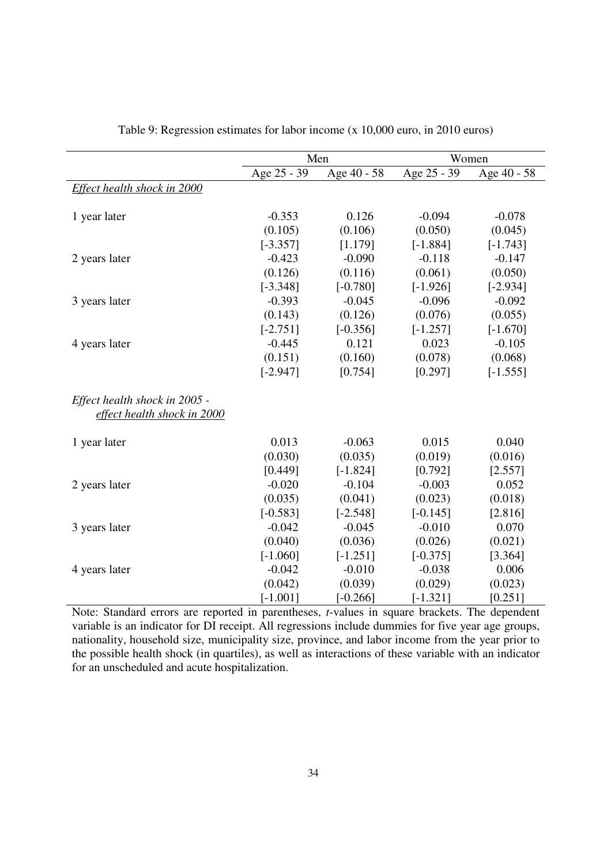|                                                              |             | Men         | Women       |             |  |
|--------------------------------------------------------------|-------------|-------------|-------------|-------------|--|
|                                                              | Age 25 - 39 | Age 40 - 58 | Age 25 - 39 | Age 40 - 58 |  |
| Effect health shock in 2000                                  |             |             |             |             |  |
| 1 year later                                                 | $-0.353$    | 0.126       | $-0.094$    | $-0.078$    |  |
|                                                              | (0.105)     | (0.106)     | (0.050)     | (0.045)     |  |
|                                                              |             |             |             |             |  |
|                                                              | $[-3.357]$  | [1.179]     | $[-1.884]$  | $[-1.743]$  |  |
| 2 years later                                                | $-0.423$    | $-0.090$    | $-0.118$    | $-0.147$    |  |
|                                                              | (0.126)     | (0.116)     | (0.061)     | (0.050)     |  |
|                                                              | $[-3.348]$  | $[-0.780]$  | $[-1.926]$  | $[-2.934]$  |  |
| 3 years later                                                | $-0.393$    | $-0.045$    | $-0.096$    | $-0.092$    |  |
|                                                              | (0.143)     | (0.126)     | (0.076)     | (0.055)     |  |
|                                                              | $[-2.751]$  | $[-0.356]$  | $[-1.257]$  | $[-1.670]$  |  |
| 4 years later                                                | $-0.445$    | 0.121       | 0.023       | $-0.105$    |  |
|                                                              | (0.151)     | (0.160)     | (0.078)     | (0.068)     |  |
|                                                              | $[-2.947]$  | [0.754]     | [0.297]     | $[-1.555]$  |  |
| Effect health shock in 2005 -<br>effect health shock in 2000 |             |             |             |             |  |
| 1 year later                                                 | 0.013       | $-0.063$    | 0.015       | 0.040       |  |
|                                                              | (0.030)     | (0.035)     | (0.019)     | (0.016)     |  |
|                                                              | [0.449]     | $[-1.824]$  | [0.792]     | [2.557]     |  |
| 2 years later                                                | $-0.020$    | $-0.104$    | $-0.003$    | 0.052       |  |
|                                                              | (0.035)     | (0.041)     | (0.023)     | (0.018)     |  |
|                                                              | $[-0.583]$  | $[-2.548]$  | $[-0.145]$  | [2.816]     |  |
| 3 years later                                                | $-0.042$    | $-0.045$    | $-0.010$    | 0.070       |  |
|                                                              | (0.040)     | (0.036)     | (0.026)     | (0.021)     |  |
|                                                              | $[-1.060]$  | $[-1.251]$  | $[-0.375]$  | [3.364]     |  |
| 4 years later                                                | $-0.042$    | $-0.010$    | $-0.038$    | 0.006       |  |
|                                                              | (0.042)     | (0.039)     | (0.029)     | (0.023)     |  |
|                                                              | $[-1.001]$  | $[-0.266]$  | $[-1.321]$  | [0.251]     |  |

Table 9: Regression estimates for labor income (x 10,000 euro, in 2010 euros)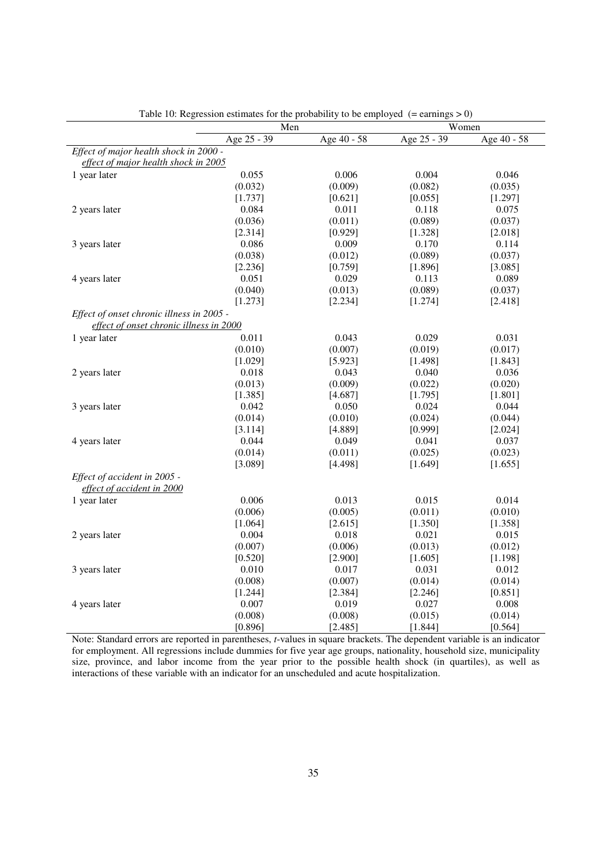|                                           | Men         |             |             | Women       |
|-------------------------------------------|-------------|-------------|-------------|-------------|
|                                           | Age 25 - 39 | Age 40 - 58 | Age 25 - 39 | Age 40 - 58 |
| Effect of major health shock in 2000 -    |             |             |             |             |
| effect of major health shock in 2005      |             |             |             |             |
| 1 year later                              | 0.055       | 0.006       | 0.004       | 0.046       |
|                                           | (0.032)     | (0.009)     | (0.082)     | (0.035)     |
|                                           | [1.737]     | [0.621]     | [0.055]     | [1.297]     |
| 2 years later                             | 0.084       | 0.011       | 0.118       | 0.075       |
|                                           | (0.036)     | (0.011)     | (0.089)     | (0.037)     |
|                                           | [2.314]     | [0.929]     | [1.328]     | [2.018]     |
| 3 years later                             | 0.086       | 0.009       | 0.170       | 0.114       |
|                                           | (0.038)     | (0.012)     | (0.089)     | (0.037)     |
|                                           | [2.236]     | [0.759]     | [1.896]     | [3.085]     |
| 4 years later                             | 0.051       | 0.029       | 0.113       | 0.089       |
|                                           | (0.040)     | (0.013)     | (0.089)     | (0.037)     |
|                                           | [1.273]     | [2.234]     | [1.274]     | [2.418]     |
| Effect of onset chronic illness in 2005 - |             |             |             |             |
| effect of onset chronic illness in 2000   |             |             |             |             |
| 1 year later                              | 0.011       | 0.043       | 0.029       | 0.031       |
|                                           | (0.010)     | (0.007)     | (0.019)     | (0.017)     |
|                                           | [1.029]     | [5.923]     | [1.498]     | [1.843]     |
| 2 years later                             | 0.018       | 0.043       | 0.040       | 0.036       |
|                                           | (0.013)     | (0.009)     | (0.022)     | (0.020)     |
|                                           | [1.385]     | [4.687]     | [1.795]     | [1.801]     |
| 3 years later                             | 0.042       | 0.050       | 0.024       | 0.044       |
|                                           | (0.014)     | (0.010)     | (0.024)     | (0.044)     |
|                                           | [3.114]     | [4.889]     | [0.999]     | [2.024]     |
| 4 years later                             | 0.044       | 0.049       | 0.041       | 0.037       |
|                                           | (0.014)     | (0.011)     | (0.025)     | (0.023)     |
|                                           | [3.089]     | [4.498]     | [1.649]     | [1.655]     |
| Effect of accident in 2005 -              |             |             |             |             |
| effect of accident in 2000                |             |             |             |             |
| 1 year later                              | 0.006       | 0.013       | 0.015       | 0.014       |
|                                           | (0.006)     | (0.005)     | (0.011)     | (0.010)     |
|                                           | [1.064]     | [2.615]     | [1.350]     | [1.358]     |
| 2 years later                             | 0.004       | 0.018       | 0.021       | 0.015       |
|                                           | (0.007)     | (0.006)     | (0.013)     | (0.012)     |
|                                           | [0.520]     | [2.900]     | [1.605]     | [1.198]     |
| 3 years later                             | 0.010       | 0.017       | 0.031       | 0.012       |
|                                           | (0.008)     | (0.007)     | (0.014)     | (0.014)     |
|                                           | [1.244]     | [2.384]     | [2.246]     | [0.851]     |
| 4 years later                             | 0.007       | 0.019       | 0.027       | 0.008       |
|                                           | (0.008)     | (0.008)     | (0.015)     | (0.014)     |
|                                           | [0.896]     | [2.485]     | [1.844]     | [0.564]     |

Table 10: Regression estimates for the probability to be employed  $(=$  earnings  $> 0$ )